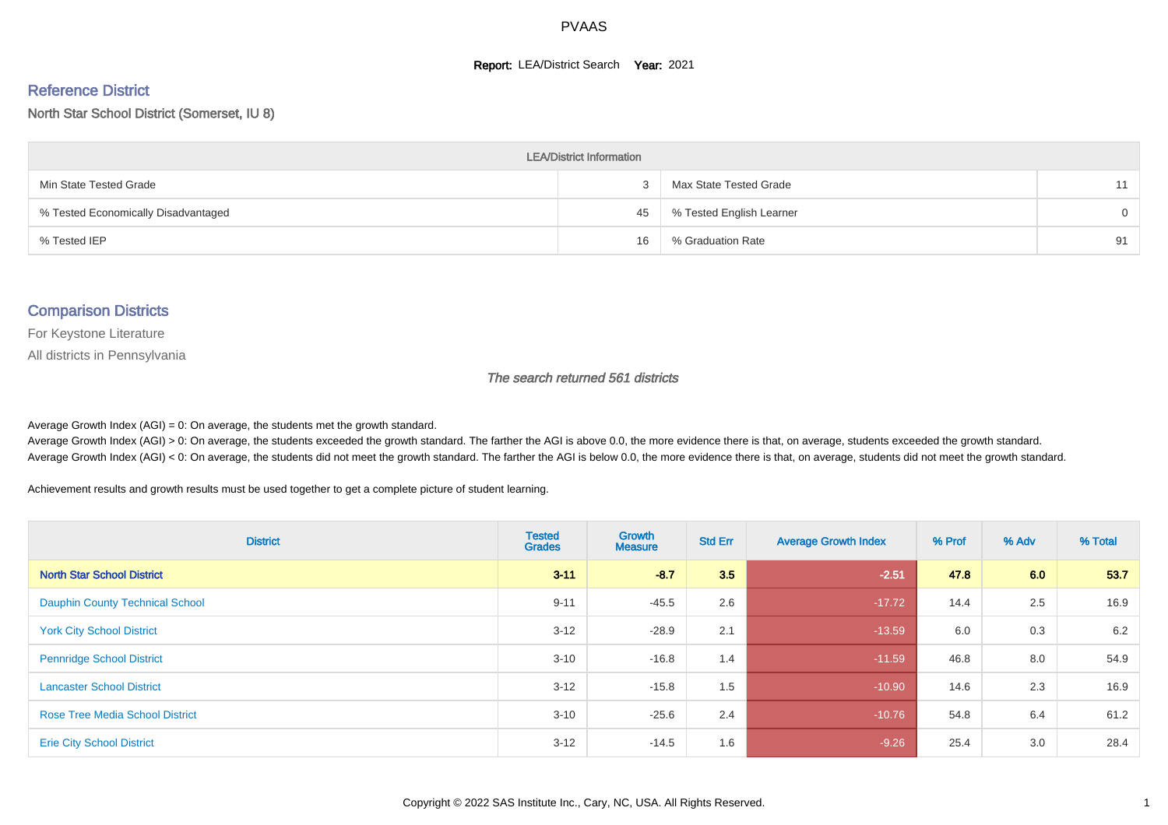#### **Report: LEA/District Search Year: 2021**

# Reference District

North Star School District (Somerset, IU 8)

| <b>LEA/District Information</b>     |    |                          |    |  |  |  |  |  |  |  |
|-------------------------------------|----|--------------------------|----|--|--|--|--|--|--|--|
| Min State Tested Grade              |    | Max State Tested Grade   |    |  |  |  |  |  |  |  |
| % Tested Economically Disadvantaged | 45 | % Tested English Learner | 0  |  |  |  |  |  |  |  |
| % Tested IEP                        | 16 | % Graduation Rate        | 91 |  |  |  |  |  |  |  |

#### Comparison Districts

For Keystone Literature

All districts in Pennsylvania

The search returned 561 districts

Average Growth Index  $(AGI) = 0$ : On average, the students met the growth standard.

Average Growth Index (AGI) > 0: On average, the students exceeded the growth standard. The farther the AGI is above 0.0, the more evidence there is that, on average, students exceeded the growth standard. Average Growth Index (AGI) < 0: On average, the students did not meet the growth standard. The farther the AGI is below 0.0, the more evidence there is that, on average, students did not meet the growth standard.

Achievement results and growth results must be used together to get a complete picture of student learning.

| <b>District</b>                        | <b>Tested</b><br><b>Grades</b> | <b>Growth</b><br><b>Measure</b> | <b>Std Err</b> | <b>Average Growth Index</b> | % Prof | % Adv | % Total |
|----------------------------------------|--------------------------------|---------------------------------|----------------|-----------------------------|--------|-------|---------|
| <b>North Star School District</b>      | $3 - 11$                       | $-8.7$                          | 3.5            | $-2.51$                     | 47.8   | 6.0   | 53.7    |
| <b>Dauphin County Technical School</b> | $9 - 11$                       | $-45.5$                         | 2.6            | $-17.72$                    | 14.4   | 2.5   | 16.9    |
| <b>York City School District</b>       | $3 - 12$                       | $-28.9$                         | 2.1            | $-13.59$                    | 6.0    | 0.3   | 6.2     |
| <b>Pennridge School District</b>       | $3 - 10$                       | $-16.8$                         | 1.4            | $-11.59$                    | 46.8   | 8.0   | 54.9    |
| <b>Lancaster School District</b>       | $3 - 12$                       | $-15.8$                         | 1.5            | $-10.90$                    | 14.6   | 2.3   | 16.9    |
| <b>Rose Tree Media School District</b> | $3 - 10$                       | $-25.6$                         | 2.4            | $-10.76$                    | 54.8   | 6.4   | 61.2    |
| <b>Erie City School District</b>       | $3 - 12$                       | $-14.5$                         | 1.6            | $-9.26$                     | 25.4   | 3.0   | 28.4    |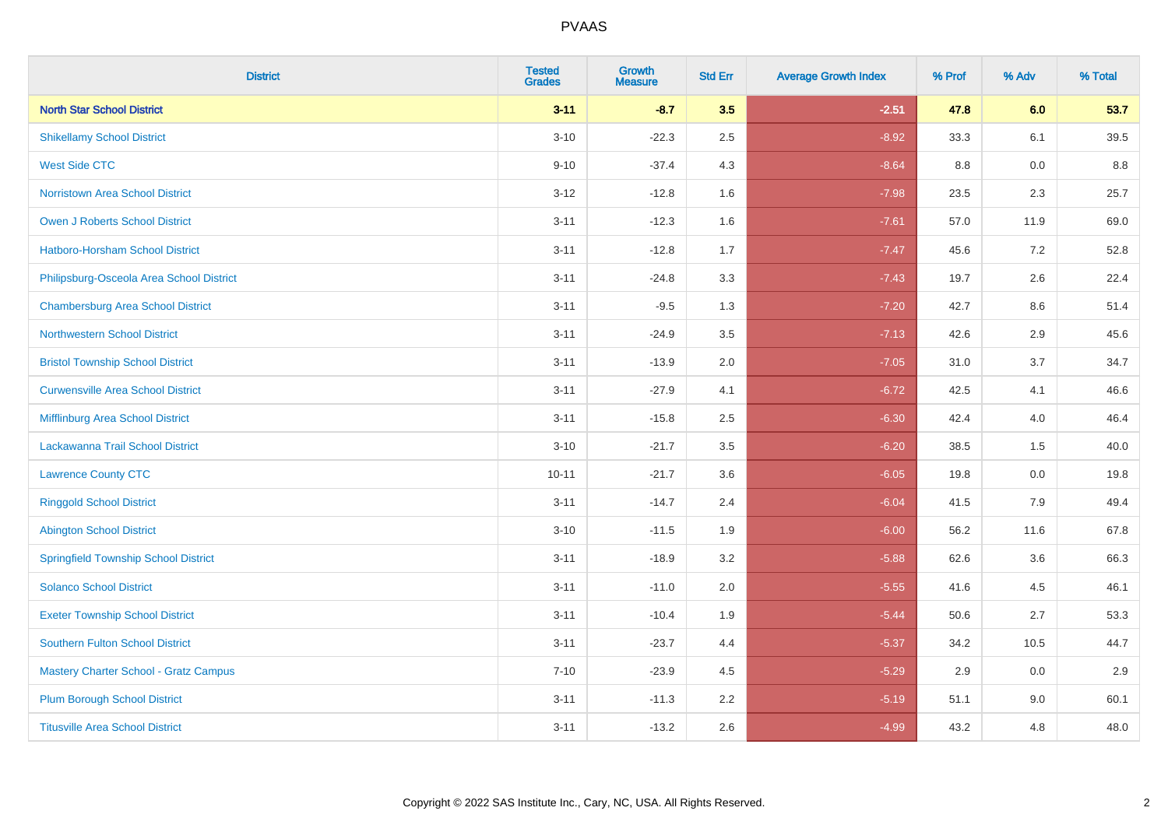| <b>District</b>                              | <b>Tested</b><br><b>Grades</b> | Growth<br><b>Measure</b> | <b>Std Err</b> | <b>Average Growth Index</b> | % Prof | % Adv | % Total |
|----------------------------------------------|--------------------------------|--------------------------|----------------|-----------------------------|--------|-------|---------|
| <b>North Star School District</b>            | $3 - 11$                       | $-8.7$                   | 3.5            | $-2.51$                     | 47.8   | 6.0   | 53.7    |
| <b>Shikellamy School District</b>            | $3 - 10$                       | $-22.3$                  | 2.5            | $-8.92$                     | 33.3   | 6.1   | 39.5    |
| <b>West Side CTC</b>                         | $9 - 10$                       | $-37.4$                  | 4.3            | $-8.64$                     | 8.8    | 0.0   | 8.8     |
| Norristown Area School District              | $3 - 12$                       | $-12.8$                  | 1.6            | $-7.98$                     | 23.5   | 2.3   | 25.7    |
| <b>Owen J Roberts School District</b>        | $3 - 11$                       | $-12.3$                  | 1.6            | $-7.61$                     | 57.0   | 11.9  | 69.0    |
| Hatboro-Horsham School District              | $3 - 11$                       | $-12.8$                  | 1.7            | $-7.47$                     | 45.6   | 7.2   | 52.8    |
| Philipsburg-Osceola Area School District     | $3 - 11$                       | $-24.8$                  | 3.3            | $-7.43$                     | 19.7   | 2.6   | 22.4    |
| <b>Chambersburg Area School District</b>     | $3 - 11$                       | $-9.5$                   | 1.3            | $-7.20$                     | 42.7   | 8.6   | 51.4    |
| <b>Northwestern School District</b>          | $3 - 11$                       | $-24.9$                  | 3.5            | $-7.13$                     | 42.6   | 2.9   | 45.6    |
| <b>Bristol Township School District</b>      | $3 - 11$                       | $-13.9$                  | 2.0            | $-7.05$                     | 31.0   | 3.7   | 34.7    |
| <b>Curwensville Area School District</b>     | $3 - 11$                       | $-27.9$                  | 4.1            | $-6.72$                     | 42.5   | 4.1   | 46.6    |
| Mifflinburg Area School District             | $3 - 11$                       | $-15.8$                  | 2.5            | $-6.30$                     | 42.4   | 4.0   | 46.4    |
| Lackawanna Trail School District             | $3 - 10$                       | $-21.7$                  | 3.5            | $-6.20$                     | 38.5   | 1.5   | 40.0    |
| <b>Lawrence County CTC</b>                   | $10 - 11$                      | $-21.7$                  | 3.6            | $-6.05$                     | 19.8   | 0.0   | 19.8    |
| <b>Ringgold School District</b>              | $3 - 11$                       | $-14.7$                  | 2.4            | $-6.04$                     | 41.5   | 7.9   | 49.4    |
| <b>Abington School District</b>              | $3 - 10$                       | $-11.5$                  | 1.9            | $-6.00$                     | 56.2   | 11.6  | 67.8    |
| <b>Springfield Township School District</b>  | $3 - 11$                       | $-18.9$                  | 3.2            | $-5.88$                     | 62.6   | 3.6   | 66.3    |
| <b>Solanco School District</b>               | $3 - 11$                       | $-11.0$                  | 2.0            | $-5.55$                     | 41.6   | 4.5   | 46.1    |
| <b>Exeter Township School District</b>       | $3 - 11$                       | $-10.4$                  | 1.9            | $-5.44$                     | 50.6   | 2.7   | 53.3    |
| <b>Southern Fulton School District</b>       | $3 - 11$                       | $-23.7$                  | 4.4            | $-5.37$                     | 34.2   | 10.5  | 44.7    |
| <b>Mastery Charter School - Gratz Campus</b> | $7 - 10$                       | $-23.9$                  | 4.5            | $-5.29$                     | 2.9    | 0.0   | 2.9     |
| <b>Plum Borough School District</b>          | $3 - 11$                       | $-11.3$                  | 2.2            | $-5.19$                     | 51.1   | 9.0   | 60.1    |
| <b>Titusville Area School District</b>       | $3 - 11$                       | $-13.2$                  | 2.6            | $-4.99$                     | 43.2   | 4.8   | 48.0    |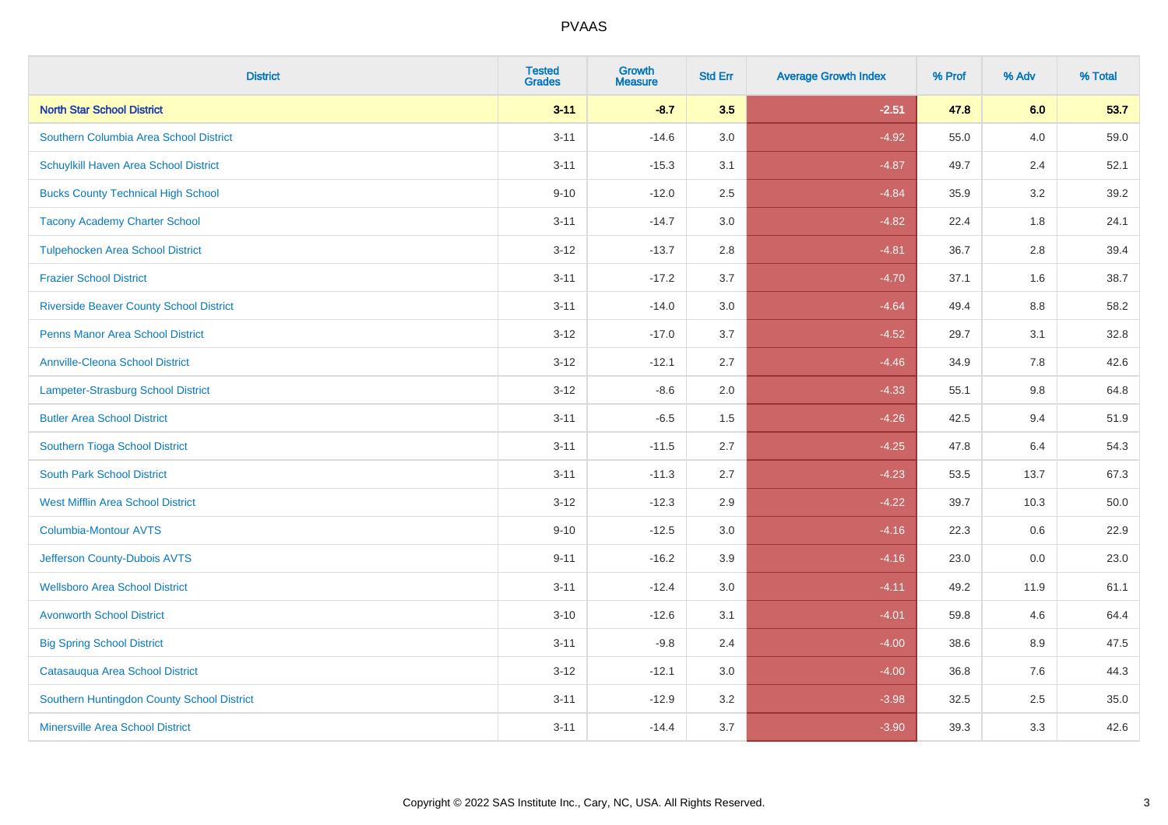| <b>District</b>                                | <b>Tested</b><br><b>Grades</b> | <b>Growth</b><br><b>Measure</b> | <b>Std Err</b> | <b>Average Growth Index</b> | % Prof | % Adv | % Total |
|------------------------------------------------|--------------------------------|---------------------------------|----------------|-----------------------------|--------|-------|---------|
| <b>North Star School District</b>              | $3 - 11$                       | $-8.7$                          | 3.5            | $-2.51$                     | 47.8   | 6.0   | 53.7    |
| Southern Columbia Area School District         | $3 - 11$                       | $-14.6$                         | 3.0            | $-4.92$                     | 55.0   | 4.0   | 59.0    |
| Schuylkill Haven Area School District          | $3 - 11$                       | $-15.3$                         | 3.1            | $-4.87$                     | 49.7   | 2.4   | 52.1    |
| <b>Bucks County Technical High School</b>      | $9 - 10$                       | $-12.0$                         | 2.5            | $-4.84$                     | 35.9   | 3.2   | 39.2    |
| <b>Tacony Academy Charter School</b>           | $3 - 11$                       | $-14.7$                         | 3.0            | $-4.82$                     | 22.4   | 1.8   | 24.1    |
| <b>Tulpehocken Area School District</b>        | $3 - 12$                       | $-13.7$                         | 2.8            | $-4.81$                     | 36.7   | 2.8   | 39.4    |
| <b>Frazier School District</b>                 | $3 - 11$                       | $-17.2$                         | 3.7            | $-4.70$                     | 37.1   | 1.6   | 38.7    |
| <b>Riverside Beaver County School District</b> | $3 - 11$                       | $-14.0$                         | 3.0            | $-4.64$                     | 49.4   | 8.8   | 58.2    |
| <b>Penns Manor Area School District</b>        | $3 - 12$                       | $-17.0$                         | 3.7            | $-4.52$                     | 29.7   | 3.1   | 32.8    |
| <b>Annville-Cleona School District</b>         | $3 - 12$                       | $-12.1$                         | 2.7            | $-4.46$                     | 34.9   | 7.8   | 42.6    |
| Lampeter-Strasburg School District             | $3 - 12$                       | $-8.6$                          | 2.0            | $-4.33$                     | 55.1   | 9.8   | 64.8    |
| <b>Butler Area School District</b>             | $3 - 11$                       | $-6.5$                          | 1.5            | $-4.26$                     | 42.5   | 9.4   | 51.9    |
| Southern Tioga School District                 | $3 - 11$                       | $-11.5$                         | 2.7            | $-4.25$                     | 47.8   | 6.4   | 54.3    |
| <b>South Park School District</b>              | $3 - 11$                       | $-11.3$                         | 2.7            | $-4.23$                     | 53.5   | 13.7  | 67.3    |
| <b>West Mifflin Area School District</b>       | $3 - 12$                       | $-12.3$                         | 2.9            | $-4.22$                     | 39.7   | 10.3  | 50.0    |
| <b>Columbia-Montour AVTS</b>                   | $9 - 10$                       | $-12.5$                         | 3.0            | $-4.16$                     | 22.3   | 0.6   | 22.9    |
| Jefferson County-Dubois AVTS                   | $9 - 11$                       | $-16.2$                         | 3.9            | $-4.16$                     | 23.0   | 0.0   | 23.0    |
| <b>Wellsboro Area School District</b>          | $3 - 11$                       | $-12.4$                         | 3.0            | $-4.11$                     | 49.2   | 11.9  | 61.1    |
| <b>Avonworth School District</b>               | $3 - 10$                       | $-12.6$                         | 3.1            | $-4.01$                     | 59.8   | 4.6   | 64.4    |
| <b>Big Spring School District</b>              | $3 - 11$                       | $-9.8$                          | 2.4            | $-4.00$                     | 38.6   | 8.9   | 47.5    |
| Catasauqua Area School District                | $3 - 12$                       | $-12.1$                         | 3.0            | $-4.00$                     | 36.8   | 7.6   | 44.3    |
| Southern Huntingdon County School District     | $3 - 11$                       | $-12.9$                         | 3.2            | $-3.98$                     | 32.5   | 2.5   | 35.0    |
| <b>Minersville Area School District</b>        | $3 - 11$                       | $-14.4$                         | 3.7            | $-3.90$                     | 39.3   | 3.3   | 42.6    |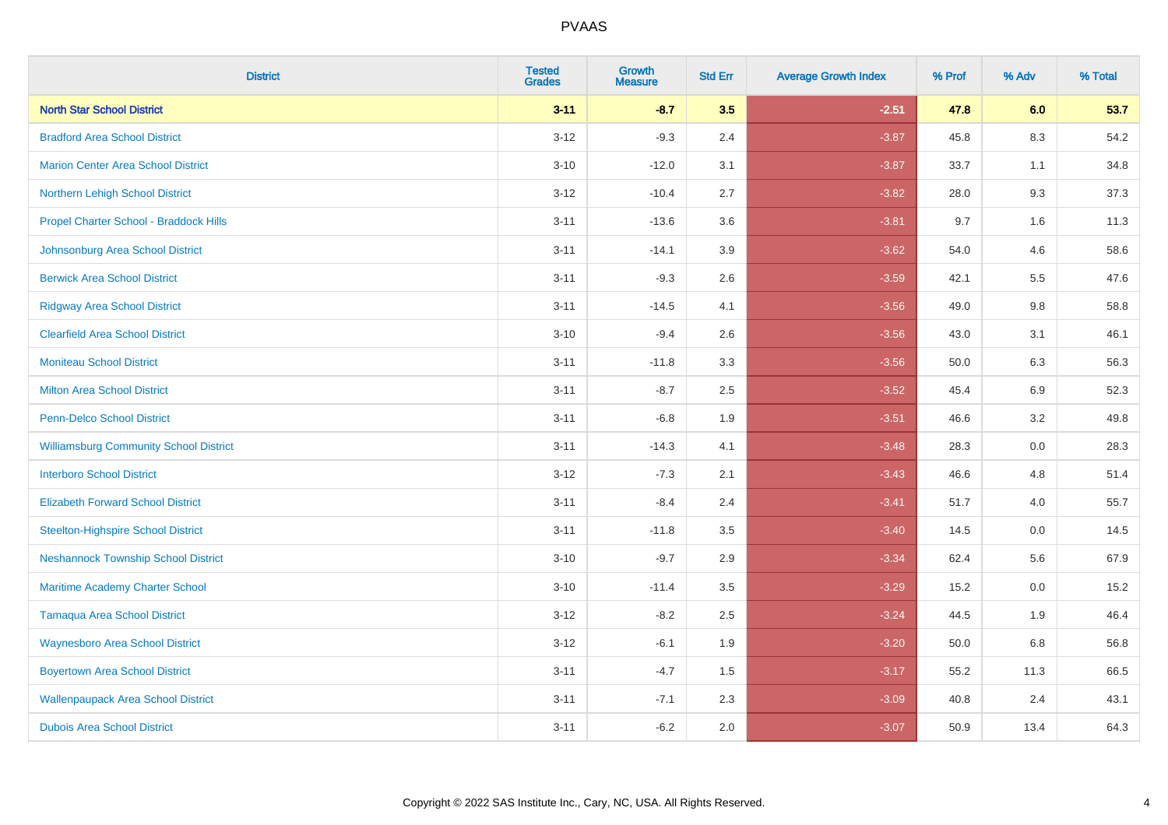| <b>District</b>                               | <b>Tested</b><br><b>Grades</b> | <b>Growth</b><br><b>Measure</b> | <b>Std Err</b> | <b>Average Growth Index</b> | % Prof | % Adv   | % Total |
|-----------------------------------------------|--------------------------------|---------------------------------|----------------|-----------------------------|--------|---------|---------|
| <b>North Star School District</b>             | $3 - 11$                       | $-8.7$                          | 3.5            | $-2.51$                     | 47.8   | 6.0     | 53.7    |
| <b>Bradford Area School District</b>          | $3 - 12$                       | $-9.3$                          | 2.4            | $-3.87$                     | 45.8   | 8.3     | 54.2    |
| <b>Marion Center Area School District</b>     | $3 - 10$                       | $-12.0$                         | 3.1            | $-3.87$                     | 33.7   | 1.1     | 34.8    |
| Northern Lehigh School District               | $3 - 12$                       | $-10.4$                         | 2.7            | $-3.82$                     | 28.0   | 9.3     | 37.3    |
| Propel Charter School - Braddock Hills        | $3 - 11$                       | $-13.6$                         | 3.6            | $-3.81$                     | 9.7    | 1.6     | 11.3    |
| Johnsonburg Area School District              | $3 - 11$                       | $-14.1$                         | 3.9            | $-3.62$                     | 54.0   | 4.6     | 58.6    |
| <b>Berwick Area School District</b>           | $3 - 11$                       | $-9.3$                          | 2.6            | $-3.59$                     | 42.1   | 5.5     | 47.6    |
| <b>Ridgway Area School District</b>           | $3 - 11$                       | $-14.5$                         | 4.1            | $-3.56$                     | 49.0   | 9.8     | 58.8    |
| <b>Clearfield Area School District</b>        | $3 - 10$                       | $-9.4$                          | 2.6            | $-3.56$                     | 43.0   | 3.1     | 46.1    |
| <b>Moniteau School District</b>               | $3 - 11$                       | $-11.8$                         | 3.3            | $-3.56$                     | 50.0   | 6.3     | 56.3    |
| <b>Milton Area School District</b>            | $3 - 11$                       | $-8.7$                          | 2.5            | $-3.52$                     | 45.4   | 6.9     | 52.3    |
| <b>Penn-Delco School District</b>             | $3 - 11$                       | $-6.8$                          | 1.9            | $-3.51$                     | 46.6   | 3.2     | 49.8    |
| <b>Williamsburg Community School District</b> | $3 - 11$                       | $-14.3$                         | 4.1            | $-3.48$                     | 28.3   | $0.0\,$ | 28.3    |
| <b>Interboro School District</b>              | $3 - 12$                       | $-7.3$                          | 2.1            | $-3.43$                     | 46.6   | 4.8     | 51.4    |
| <b>Elizabeth Forward School District</b>      | $3 - 11$                       | $-8.4$                          | 2.4            | $-3.41$                     | 51.7   | 4.0     | 55.7    |
| <b>Steelton-Highspire School District</b>     | $3 - 11$                       | $-11.8$                         | 3.5            | $-3.40$                     | 14.5   | $0.0\,$ | 14.5    |
| <b>Neshannock Township School District</b>    | $3 - 10$                       | $-9.7$                          | 2.9            | $-3.34$                     | 62.4   | 5.6     | 67.9    |
| Maritime Academy Charter School               | $3 - 10$                       | $-11.4$                         | 3.5            | $-3.29$                     | 15.2   | 0.0     | 15.2    |
| <b>Tamaqua Area School District</b>           | $3 - 12$                       | $-8.2$                          | 2.5            | $-3.24$                     | 44.5   | 1.9     | 46.4    |
| <b>Waynesboro Area School District</b>        | $3 - 12$                       | $-6.1$                          | 1.9            | $-3.20$                     | 50.0   | 6.8     | 56.8    |
| <b>Boyertown Area School District</b>         | $3 - 11$                       | $-4.7$                          | 1.5            | $-3.17$                     | 55.2   | 11.3    | 66.5    |
| <b>Wallenpaupack Area School District</b>     | $3 - 11$                       | $-7.1$                          | 2.3            | $-3.09$                     | 40.8   | 2.4     | 43.1    |
| <b>Dubois Area School District</b>            | $3 - 11$                       | $-6.2$                          | 2.0            | $-3.07$                     | 50.9   | 13.4    | 64.3    |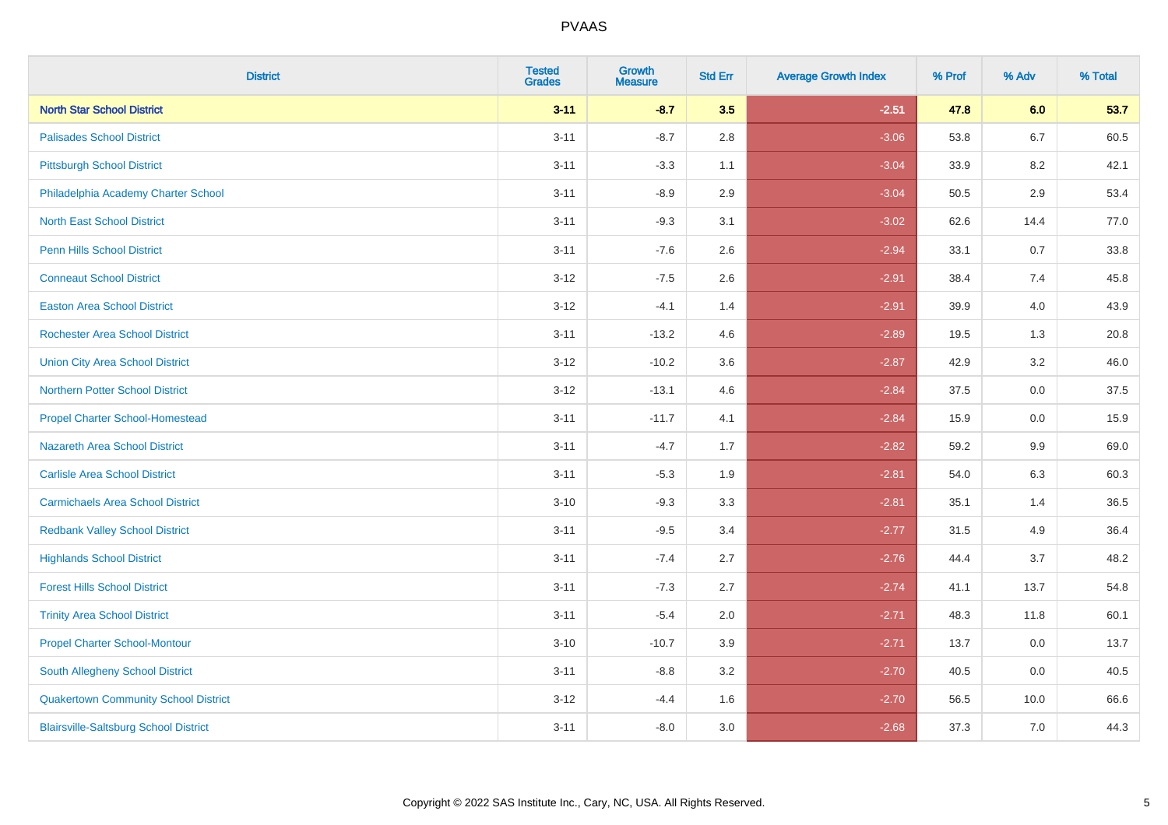| <b>District</b>                              | <b>Tested</b><br><b>Grades</b> | <b>Growth</b><br><b>Measure</b> | <b>Std Err</b> | <b>Average Growth Index</b> | % Prof | % Adv   | % Total |
|----------------------------------------------|--------------------------------|---------------------------------|----------------|-----------------------------|--------|---------|---------|
| <b>North Star School District</b>            | $3 - 11$                       | $-8.7$                          | 3.5            | $-2.51$                     | 47.8   | 6.0     | 53.7    |
| <b>Palisades School District</b>             | $3 - 11$                       | $-8.7$                          | 2.8            | $-3.06$                     | 53.8   | $6.7\,$ | 60.5    |
| <b>Pittsburgh School District</b>            | $3 - 11$                       | $-3.3$                          | 1.1            | $-3.04$                     | 33.9   | 8.2     | 42.1    |
| Philadelphia Academy Charter School          | $3 - 11$                       | $-8.9$                          | 2.9            | $-3.04$                     | 50.5   | 2.9     | 53.4    |
| <b>North East School District</b>            | $3 - 11$                       | $-9.3$                          | 3.1            | $-3.02$                     | 62.6   | 14.4    | 77.0    |
| <b>Penn Hills School District</b>            | $3 - 11$                       | $-7.6$                          | 2.6            | $-2.94$                     | 33.1   | 0.7     | 33.8    |
| <b>Conneaut School District</b>              | $3 - 12$                       | $-7.5$                          | 2.6            | $-2.91$                     | 38.4   | 7.4     | 45.8    |
| <b>Easton Area School District</b>           | $3 - 12$                       | $-4.1$                          | 1.4            | $-2.91$                     | 39.9   | 4.0     | 43.9    |
| <b>Rochester Area School District</b>        | $3 - 11$                       | $-13.2$                         | 4.6            | $-2.89$                     | 19.5   | 1.3     | 20.8    |
| <b>Union City Area School District</b>       | $3-12$                         | $-10.2$                         | 3.6            | $-2.87$                     | 42.9   | 3.2     | 46.0    |
| <b>Northern Potter School District</b>       | $3-12$                         | $-13.1$                         | 4.6            | $-2.84$                     | 37.5   | 0.0     | 37.5    |
| <b>Propel Charter School-Homestead</b>       | $3 - 11$                       | $-11.7$                         | 4.1            | $-2.84$                     | 15.9   | 0.0     | 15.9    |
| Nazareth Area School District                | $3 - 11$                       | $-4.7$                          | 1.7            | $-2.82$                     | 59.2   | 9.9     | 69.0    |
| <b>Carlisle Area School District</b>         | $3 - 11$                       | $-5.3$                          | 1.9            | $-2.81$                     | 54.0   | 6.3     | 60.3    |
| <b>Carmichaels Area School District</b>      | $3 - 10$                       | $-9.3$                          | 3.3            | $-2.81$                     | 35.1   | 1.4     | 36.5    |
| <b>Redbank Valley School District</b>        | $3 - 11$                       | $-9.5$                          | 3.4            | $-2.77$                     | 31.5   | 4.9     | 36.4    |
| <b>Highlands School District</b>             | $3 - 11$                       | $-7.4$                          | 2.7            | $-2.76$                     | 44.4   | 3.7     | 48.2    |
| <b>Forest Hills School District</b>          | $3 - 11$                       | $-7.3$                          | 2.7            | $-2.74$                     | 41.1   | 13.7    | 54.8    |
| <b>Trinity Area School District</b>          | $3 - 11$                       | $-5.4$                          | 2.0            | $-2.71$                     | 48.3   | 11.8    | 60.1    |
| <b>Propel Charter School-Montour</b>         | $3 - 10$                       | $-10.7$                         | 3.9            | $-2.71$                     | 13.7   | 0.0     | 13.7    |
| South Allegheny School District              | $3 - 11$                       | $-8.8$                          | 3.2            | $-2.70$                     | 40.5   | 0.0     | 40.5    |
| <b>Quakertown Community School District</b>  | $3-12$                         | $-4.4$                          | 1.6            | $-2.70$                     | 56.5   | 10.0    | 66.6    |
| <b>Blairsville-Saltsburg School District</b> | $3 - 11$                       | $-8.0$                          | 3.0            | $-2.68$                     | 37.3   | 7.0     | 44.3    |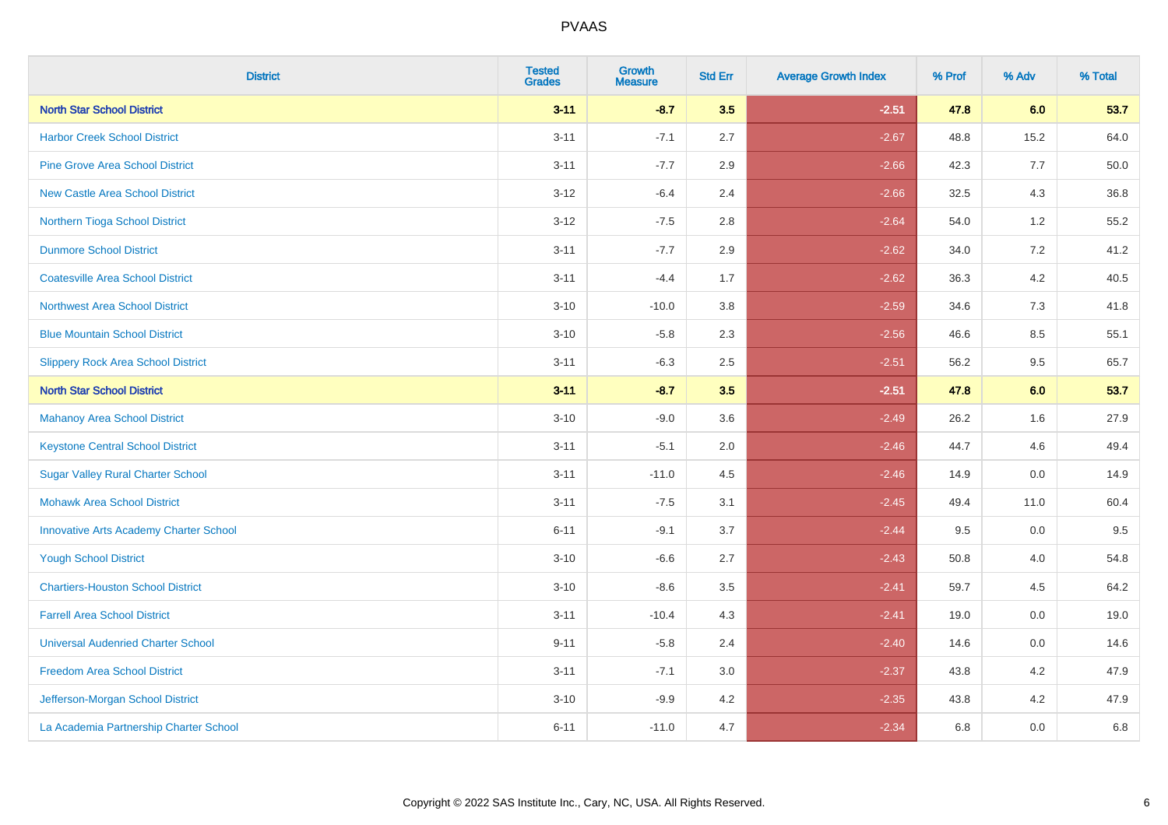| <b>District</b>                               | <b>Tested</b><br><b>Grades</b> | <b>Growth</b><br><b>Measure</b> | <b>Std Err</b> | <b>Average Growth Index</b> | % Prof | % Adv   | % Total |
|-----------------------------------------------|--------------------------------|---------------------------------|----------------|-----------------------------|--------|---------|---------|
| <b>North Star School District</b>             | $3 - 11$                       | $-8.7$                          | 3.5            | $-2.51$                     | 47.8   | 6.0     | 53.7    |
| <b>Harbor Creek School District</b>           | $3 - 11$                       | $-7.1$                          | 2.7            | $-2.67$                     | 48.8   | 15.2    | 64.0    |
| <b>Pine Grove Area School District</b>        | $3 - 11$                       | $-7.7$                          | 2.9            | $-2.66$                     | 42.3   | 7.7     | 50.0    |
| <b>New Castle Area School District</b>        | $3-12$                         | $-6.4$                          | 2.4            | $-2.66$                     | 32.5   | $4.3$   | 36.8    |
| Northern Tioga School District                | $3 - 12$                       | $-7.5$                          | 2.8            | $-2.64$                     | 54.0   | 1.2     | 55.2    |
| <b>Dunmore School District</b>                | $3 - 11$                       | $-7.7$                          | 2.9            | $-2.62$                     | 34.0   | 7.2     | 41.2    |
| <b>Coatesville Area School District</b>       | $3 - 11$                       | $-4.4$                          | 1.7            | $-2.62$                     | 36.3   | $4.2\,$ | 40.5    |
| <b>Northwest Area School District</b>         | $3 - 10$                       | $-10.0$                         | 3.8            | $-2.59$                     | 34.6   | 7.3     | 41.8    |
| <b>Blue Mountain School District</b>          | $3 - 10$                       | $-5.8$                          | 2.3            | $-2.56$                     | 46.6   | 8.5     | 55.1    |
| <b>Slippery Rock Area School District</b>     | $3 - 11$                       | $-6.3$                          | $2.5\,$        | $-2.51$                     | 56.2   | $9.5\,$ | 65.7    |
| <b>North Star School District</b>             | $3 - 11$                       | $-8.7$                          | 3.5            | $-2.51$                     | 47.8   | 6.0     | 53.7    |
| <b>Mahanoy Area School District</b>           | $3 - 10$                       | $-9.0$                          | 3.6            | $-2.49$                     | 26.2   | 1.6     | 27.9    |
| <b>Keystone Central School District</b>       | $3 - 11$                       | $-5.1$                          | 2.0            | $-2.46$                     | 44.7   | 4.6     | 49.4    |
| <b>Sugar Valley Rural Charter School</b>      | $3 - 11$                       | $-11.0$                         | 4.5            | $-2.46$                     | 14.9   | $0.0\,$ | 14.9    |
| <b>Mohawk Area School District</b>            | $3 - 11$                       | $-7.5$                          | 3.1            | $-2.45$                     | 49.4   | 11.0    | 60.4    |
| <b>Innovative Arts Academy Charter School</b> | $6 - 11$                       | $-9.1$                          | 3.7            | $-2.44$                     | 9.5    | 0.0     | 9.5     |
| <b>Yough School District</b>                  | $3 - 10$                       | $-6.6$                          | 2.7            | $-2.43$                     | 50.8   | 4.0     | 54.8    |
| <b>Chartiers-Houston School District</b>      | $3 - 10$                       | $-8.6$                          | 3.5            | $-2.41$                     | 59.7   | 4.5     | 64.2    |
| <b>Farrell Area School District</b>           | $3 - 11$                       | $-10.4$                         | 4.3            | $-2.41$                     | 19.0   | 0.0     | 19.0    |
| <b>Universal Audenried Charter School</b>     | $9 - 11$                       | $-5.8$                          | 2.4            | $-2.40$                     | 14.6   | 0.0     | 14.6    |
| <b>Freedom Area School District</b>           | $3 - 11$                       | $-7.1$                          | 3.0            | $-2.37$                     | 43.8   | 4.2     | 47.9    |
| Jefferson-Morgan School District              | $3 - 10$                       | $-9.9$                          | 4.2            | $-2.35$                     | 43.8   | 4.2     | 47.9    |
| La Academia Partnership Charter School        | $6 - 11$                       | $-11.0$                         | 4.7            | $-2.34$                     | 6.8    | 0.0     | 6.8     |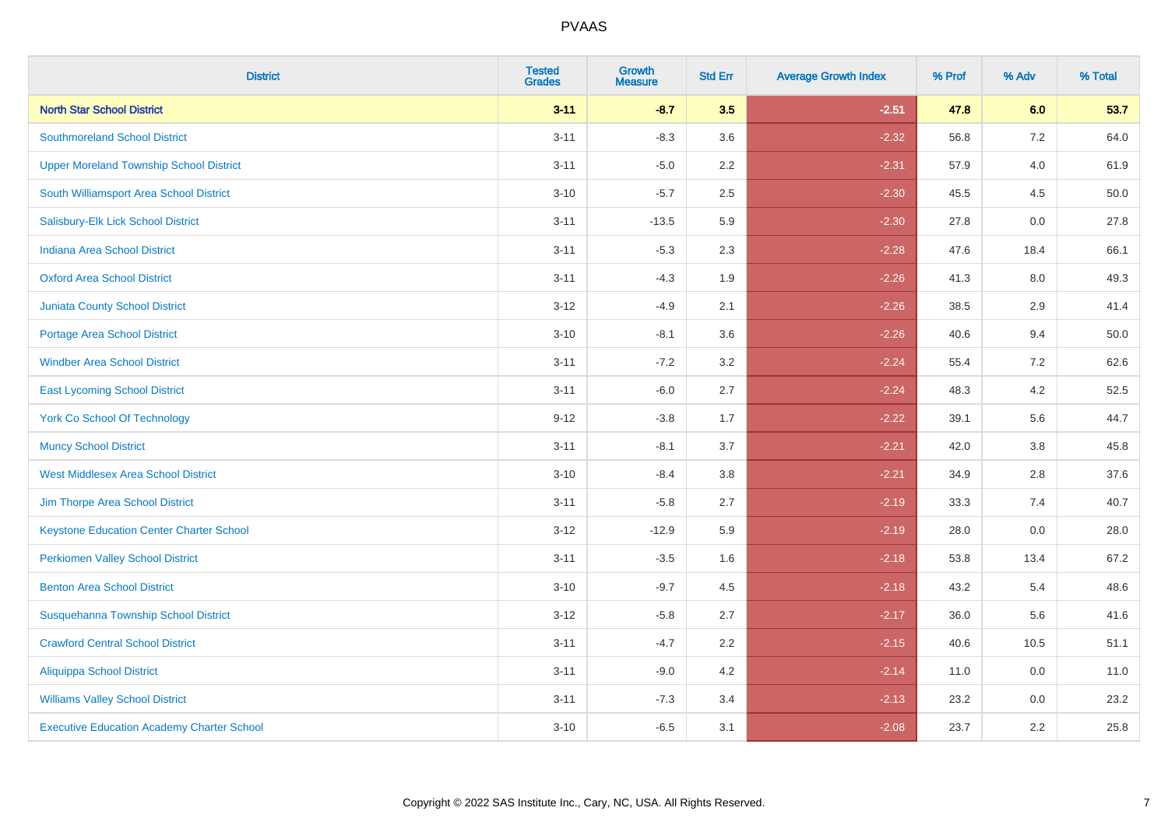| <b>District</b>                                   | <b>Tested</b><br><b>Grades</b> | <b>Growth</b><br><b>Measure</b> | <b>Std Err</b> | <b>Average Growth Index</b> | % Prof | % Adv   | % Total |
|---------------------------------------------------|--------------------------------|---------------------------------|----------------|-----------------------------|--------|---------|---------|
| <b>North Star School District</b>                 | $3 - 11$                       | $-8.7$                          | 3.5            | $-2.51$                     | 47.8   | 6.0     | 53.7    |
| <b>Southmoreland School District</b>              | $3 - 11$                       | $-8.3$                          | 3.6            | $-2.32$                     | 56.8   | 7.2     | 64.0    |
| <b>Upper Moreland Township School District</b>    | $3 - 11$                       | $-5.0$                          | 2.2            | $-2.31$                     | 57.9   | 4.0     | 61.9    |
| South Williamsport Area School District           | $3 - 10$                       | $-5.7$                          | 2.5            | $-2.30$                     | 45.5   | 4.5     | 50.0    |
| Salisbury-Elk Lick School District                | $3 - 11$                       | $-13.5$                         | 5.9            | $-2.30$                     | 27.8   | 0.0     | 27.8    |
| <b>Indiana Area School District</b>               | $3 - 11$                       | $-5.3$                          | 2.3            | $-2.28$                     | 47.6   | 18.4    | 66.1    |
| <b>Oxford Area School District</b>                | $3 - 11$                       | $-4.3$                          | 1.9            | $-2.26$                     | 41.3   | $8.0\,$ | 49.3    |
| <b>Juniata County School District</b>             | $3 - 12$                       | $-4.9$                          | 2.1            | $-2.26$                     | 38.5   | 2.9     | 41.4    |
| Portage Area School District                      | $3 - 10$                       | $-8.1$                          | 3.6            | $-2.26$                     | 40.6   | 9.4     | 50.0    |
| <b>Windber Area School District</b>               | $3 - 11$                       | $-7.2$                          | 3.2            | $-2.24$                     | 55.4   | 7.2     | 62.6    |
| <b>East Lycoming School District</b>              | $3 - 11$                       | $-6.0$                          | 2.7            | $-2.24$                     | 48.3   | 4.2     | 52.5    |
| <b>York Co School Of Technology</b>               | $9 - 12$                       | $-3.8$                          | 1.7            | $-2.22$                     | 39.1   | 5.6     | 44.7    |
| <b>Muncy School District</b>                      | $3 - 11$                       | $-8.1$                          | 3.7            | $-2.21$                     | 42.0   | 3.8     | 45.8    |
| <b>West Middlesex Area School District</b>        | $3 - 10$                       | $-8.4$                          | 3.8            | $-2.21$                     | 34.9   | 2.8     | 37.6    |
| Jim Thorpe Area School District                   | $3 - 11$                       | $-5.8$                          | 2.7            | $-2.19$                     | 33.3   | 7.4     | 40.7    |
| <b>Keystone Education Center Charter School</b>   | $3 - 12$                       | $-12.9$                         | 5.9            | $-2.19$                     | 28.0   | 0.0     | 28.0    |
| <b>Perkiomen Valley School District</b>           | $3 - 11$                       | $-3.5$                          | 1.6            | $-2.18$                     | 53.8   | 13.4    | 67.2    |
| <b>Benton Area School District</b>                | $3 - 10$                       | $-9.7$                          | 4.5            | $-2.18$                     | 43.2   | 5.4     | 48.6    |
| Susquehanna Township School District              | $3 - 12$                       | $-5.8$                          | 2.7            | $-2.17$                     | 36.0   | 5.6     | 41.6    |
| <b>Crawford Central School District</b>           | $3 - 11$                       | $-4.7$                          | 2.2            | $-2.15$                     | 40.6   | 10.5    | 51.1    |
| Aliquippa School District                         | $3 - 11$                       | $-9.0$                          | 4.2            | $-2.14$                     | 11.0   | 0.0     | 11.0    |
| <b>Williams Valley School District</b>            | $3 - 11$                       | $-7.3$                          | 3.4            | $-2.13$                     | 23.2   | 0.0     | 23.2    |
| <b>Executive Education Academy Charter School</b> | $3 - 10$                       | $-6.5$                          | 3.1            | $-2.08$                     | 23.7   | 2.2     | 25.8    |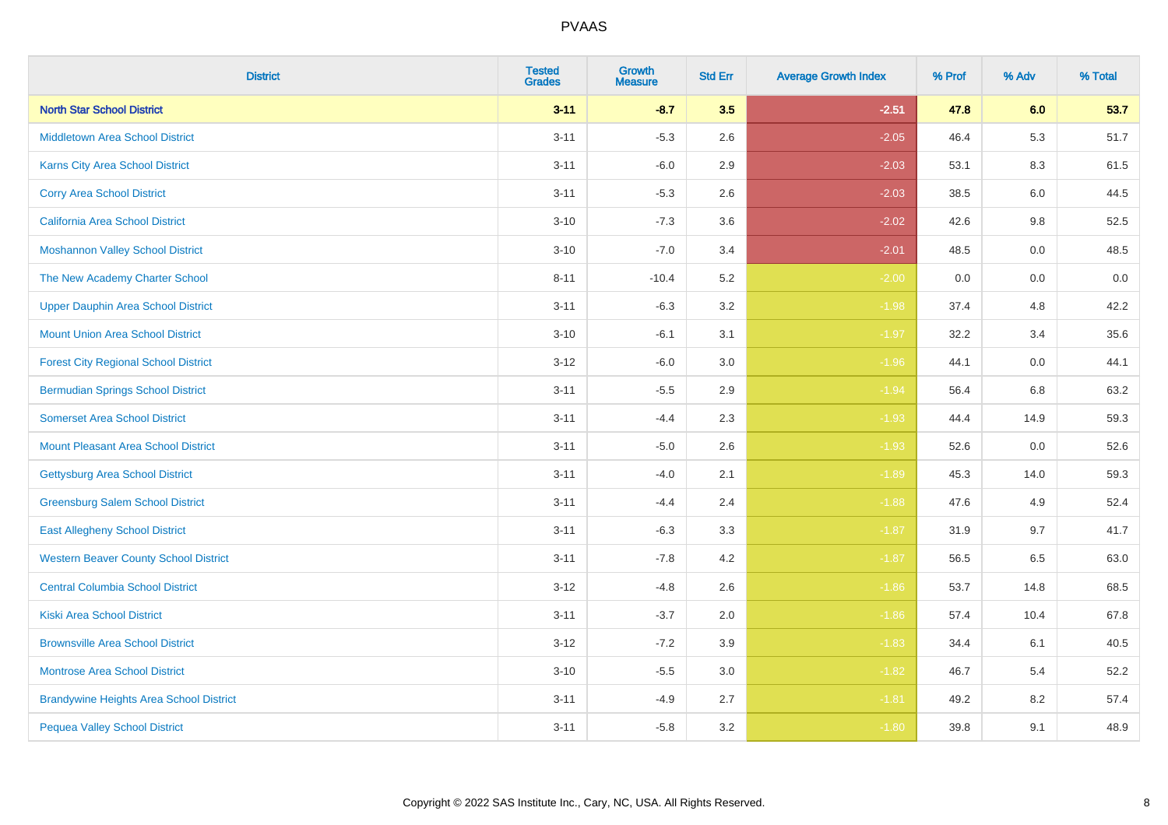| <b>District</b>                                | <b>Tested</b><br><b>Grades</b> | <b>Growth</b><br><b>Measure</b> | <b>Std Err</b> | <b>Average Growth Index</b> | % Prof | % Adv | % Total |
|------------------------------------------------|--------------------------------|---------------------------------|----------------|-----------------------------|--------|-------|---------|
| <b>North Star School District</b>              | $3 - 11$                       | $-8.7$                          | 3.5            | $-2.51$                     | 47.8   | 6.0   | 53.7    |
| <b>Middletown Area School District</b>         | $3 - 11$                       | $-5.3$                          | 2.6            | $-2.05$                     | 46.4   | 5.3   | 51.7    |
| <b>Karns City Area School District</b>         | $3 - 11$                       | $-6.0$                          | 2.9            | $-2.03$                     | 53.1   | 8.3   | 61.5    |
| <b>Corry Area School District</b>              | $3 - 11$                       | $-5.3$                          | 2.6            | $-2.03$                     | 38.5   | 6.0   | 44.5    |
| <b>California Area School District</b>         | $3 - 10$                       | $-7.3$                          | 3.6            | $-2.02$                     | 42.6   | 9.8   | 52.5    |
| <b>Moshannon Valley School District</b>        | $3 - 10$                       | $-7.0$                          | 3.4            | $-2.01$                     | 48.5   | 0.0   | 48.5    |
| The New Academy Charter School                 | $8 - 11$                       | $-10.4$                         | 5.2            | $-2.00$                     | 0.0    | 0.0   | 0.0     |
| <b>Upper Dauphin Area School District</b>      | $3 - 11$                       | $-6.3$                          | 3.2            | $-1.98$                     | 37.4   | 4.8   | 42.2    |
| <b>Mount Union Area School District</b>        | $3 - 10$                       | $-6.1$                          | 3.1            | $-1.97$                     | 32.2   | 3.4   | 35.6    |
| <b>Forest City Regional School District</b>    | $3 - 12$                       | $-6.0$                          | 3.0            | $-1.96$                     | 44.1   | 0.0   | 44.1    |
| <b>Bermudian Springs School District</b>       | $3 - 11$                       | $-5.5$                          | 2.9            | $-1.94$                     | 56.4   | 6.8   | 63.2    |
| <b>Somerset Area School District</b>           | $3 - 11$                       | $-4.4$                          | 2.3            | $-1.93$                     | 44.4   | 14.9  | 59.3    |
| <b>Mount Pleasant Area School District</b>     | $3 - 11$                       | $-5.0$                          | 2.6            | $-1.93$                     | 52.6   | 0.0   | 52.6    |
| <b>Gettysburg Area School District</b>         | $3 - 11$                       | $-4.0$                          | 2.1            | $-1.89$                     | 45.3   | 14.0  | 59.3    |
| <b>Greensburg Salem School District</b>        | $3 - 11$                       | $-4.4$                          | 2.4            | $-1.88$                     | 47.6   | 4.9   | 52.4    |
| <b>East Allegheny School District</b>          | $3 - 11$                       | $-6.3$                          | 3.3            | $-1.87$                     | 31.9   | 9.7   | 41.7    |
| <b>Western Beaver County School District</b>   | $3 - 11$                       | $-7.8$                          | 4.2            | $-1.87$                     | 56.5   | 6.5   | 63.0    |
| <b>Central Columbia School District</b>        | $3 - 12$                       | $-4.8$                          | 2.6            | $-1.86$                     | 53.7   | 14.8  | 68.5    |
| <b>Kiski Area School District</b>              | $3 - 11$                       | $-3.7$                          | 2.0            | $-1.86$                     | 57.4   | 10.4  | 67.8    |
| <b>Brownsville Area School District</b>        | $3 - 12$                       | $-7.2$                          | 3.9            | $-1.83$                     | 34.4   | 6.1   | 40.5    |
| <b>Montrose Area School District</b>           | $3 - 10$                       | $-5.5$                          | 3.0            | $-1.82$                     | 46.7   | 5.4   | 52.2    |
| <b>Brandywine Heights Area School District</b> | $3 - 11$                       | $-4.9$                          | 2.7            | $-1.81$                     | 49.2   | 8.2   | 57.4    |
| <b>Pequea Valley School District</b>           | $3 - 11$                       | $-5.8$                          | 3.2            | $-1.80$                     | 39.8   | 9.1   | 48.9    |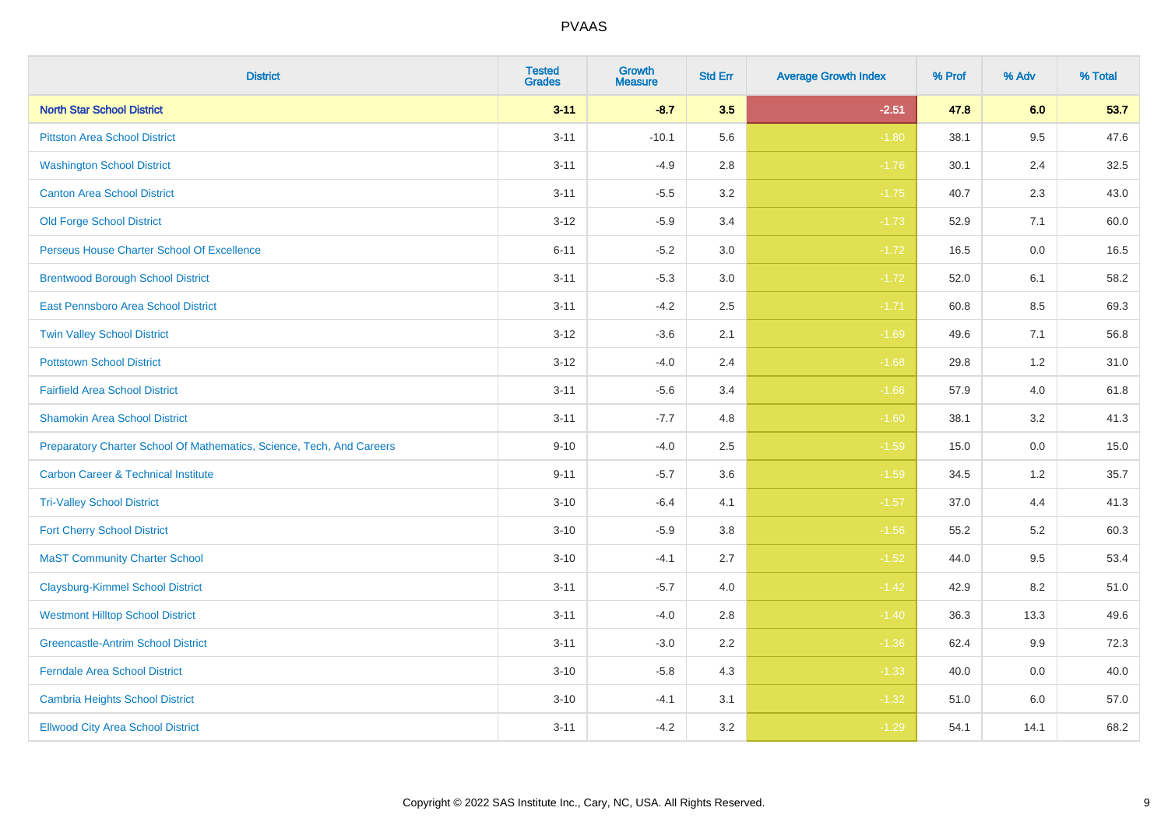| <b>District</b>                                                       | <b>Tested</b><br><b>Grades</b> | Growth<br><b>Measure</b> | <b>Std Err</b> | <b>Average Growth Index</b> | % Prof | % Adv   | % Total |
|-----------------------------------------------------------------------|--------------------------------|--------------------------|----------------|-----------------------------|--------|---------|---------|
| <b>North Star School District</b>                                     | $3 - 11$                       | $-8.7$                   | 3.5            | $-2.51$                     | 47.8   | 6.0     | 53.7    |
| <b>Pittston Area School District</b>                                  | $3 - 11$                       | $-10.1$                  | 5.6            | $-1.80$                     | 38.1   | 9.5     | 47.6    |
| <b>Washington School District</b>                                     | $3 - 11$                       | $-4.9$                   | 2.8            | $-1.76$                     | 30.1   | 2.4     | 32.5    |
| <b>Canton Area School District</b>                                    | $3 - 11$                       | $-5.5$                   | $3.2\,$        | $-1.75$                     | 40.7   | 2.3     | 43.0    |
| <b>Old Forge School District</b>                                      | $3 - 12$                       | $-5.9$                   | 3.4            | $-1.73$                     | 52.9   | 7.1     | 60.0    |
| Perseus House Charter School Of Excellence                            | $6 - 11$                       | $-5.2$                   | 3.0            | $-1.72$                     | 16.5   | 0.0     | 16.5    |
| <b>Brentwood Borough School District</b>                              | $3 - 11$                       | $-5.3$                   | $3.0\,$        | $-1.72$                     | 52.0   | 6.1     | 58.2    |
| East Pennsboro Area School District                                   | $3 - 11$                       | $-4.2$                   | 2.5            | $-1.71$                     | 60.8   | 8.5     | 69.3    |
| <b>Twin Valley School District</b>                                    | $3 - 12$                       | $-3.6$                   | 2.1            | $-1.69$                     | 49.6   | 7.1     | 56.8    |
| <b>Pottstown School District</b>                                      | $3 - 12$                       | $-4.0$                   | 2.4            | $-1.68$                     | 29.8   | 1.2     | 31.0    |
| <b>Fairfield Area School District</b>                                 | $3 - 11$                       | $-5.6$                   | 3.4            | $-1.66$                     | 57.9   | 4.0     | 61.8    |
| <b>Shamokin Area School District</b>                                  | $3 - 11$                       | $-7.7$                   | 4.8            | $-1.60$                     | 38.1   | 3.2     | 41.3    |
| Preparatory Charter School Of Mathematics, Science, Tech, And Careers | $9 - 10$                       | $-4.0$                   | 2.5            | $-1.59$                     | 15.0   | $0.0\,$ | 15.0    |
| <b>Carbon Career &amp; Technical Institute</b>                        | $9 - 11$                       | $-5.7$                   | 3.6            | $-1.59$                     | 34.5   | 1.2     | 35.7    |
| <b>Tri-Valley School District</b>                                     | $3 - 10$                       | $-6.4$                   | 4.1            | $-1.57$                     | 37.0   | 4.4     | 41.3    |
| <b>Fort Cherry School District</b>                                    | $3 - 10$                       | $-5.9$                   | 3.8            | $-1.56$                     | 55.2   | 5.2     | 60.3    |
| <b>MaST Community Charter School</b>                                  | $3 - 10$                       | $-4.1$                   | 2.7            | $-1.52$                     | 44.0   | 9.5     | 53.4    |
| <b>Claysburg-Kimmel School District</b>                               | $3 - 11$                       | $-5.7$                   | 4.0            | $-1.42$                     | 42.9   | 8.2     | 51.0    |
| <b>Westmont Hilltop School District</b>                               | $3 - 11$                       | $-4.0$                   | 2.8            | $-1.40$                     | 36.3   | 13.3    | 49.6    |
| <b>Greencastle-Antrim School District</b>                             | $3 - 11$                       | $-3.0$                   | 2.2            | $-1.36$                     | 62.4   | 9.9     | 72.3    |
| <b>Ferndale Area School District</b>                                  | $3 - 10$                       | $-5.8$                   | 4.3            | $-1.33$                     | 40.0   | 0.0     | 40.0    |
| <b>Cambria Heights School District</b>                                | $3 - 10$                       | $-4.1$                   | 3.1            | $-1.32$                     | 51.0   | 6.0     | 57.0    |
| <b>Ellwood City Area School District</b>                              | $3 - 11$                       | $-4.2$                   | 3.2            | $-1.29$                     | 54.1   | 14.1    | 68.2    |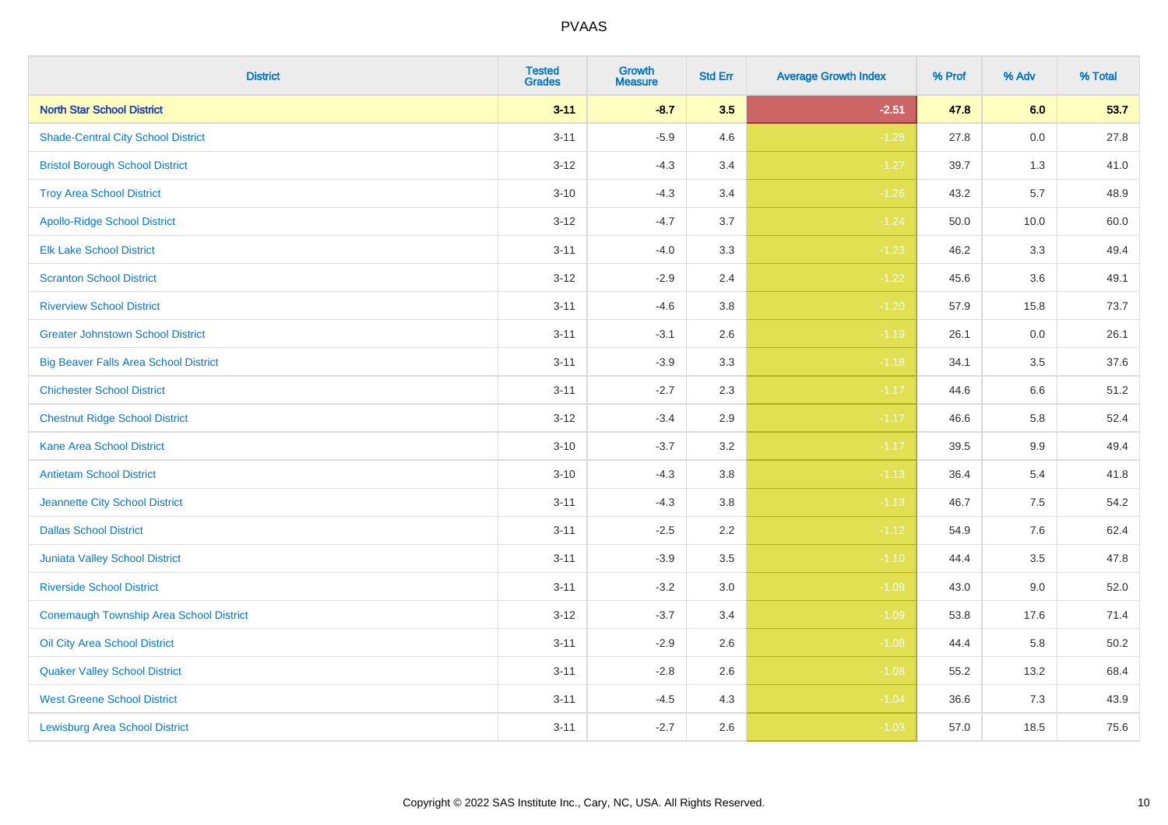| <b>District</b>                              | <b>Tested</b><br><b>Grades</b> | Growth<br><b>Measure</b> | <b>Std Err</b> | <b>Average Growth Index</b> | % Prof | % Adv   | % Total |
|----------------------------------------------|--------------------------------|--------------------------|----------------|-----------------------------|--------|---------|---------|
| <b>North Star School District</b>            | $3 - 11$                       | $-8.7$                   | 3.5            | $-2.51$                     | 47.8   | 6.0     | 53.7    |
| <b>Shade-Central City School District</b>    | $3 - 11$                       | $-5.9$                   | 4.6            | $-1.28$                     | 27.8   | 0.0     | 27.8    |
| <b>Bristol Borough School District</b>       | $3 - 12$                       | $-4.3$                   | 3.4            | $-1.27$                     | 39.7   | 1.3     | 41.0    |
| <b>Troy Area School District</b>             | $3 - 10$                       | $-4.3$                   | 3.4            | $-1.26$                     | 43.2   | 5.7     | 48.9    |
| <b>Apollo-Ridge School District</b>          | $3 - 12$                       | $-4.7$                   | 3.7            | $-1.24$                     | 50.0   | 10.0    | 60.0    |
| <b>Elk Lake School District</b>              | $3 - 11$                       | $-4.0$                   | 3.3            | $-1.23$                     | 46.2   | 3.3     | 49.4    |
| <b>Scranton School District</b>              | $3 - 12$                       | $-2.9$                   | 2.4            | $-1.22$                     | 45.6   | 3.6     | 49.1    |
| <b>Riverview School District</b>             | $3 - 11$                       | $-4.6$                   | 3.8            | $-1.20$                     | 57.9   | 15.8    | 73.7    |
| <b>Greater Johnstown School District</b>     | $3 - 11$                       | $-3.1$                   | 2.6            | $-1.19$                     | 26.1   | 0.0     | 26.1    |
| <b>Big Beaver Falls Area School District</b> | $3 - 11$                       | $-3.9$                   | 3.3            | $-1.18$                     | 34.1   | 3.5     | 37.6    |
| <b>Chichester School District</b>            | $3 - 11$                       | $-2.7$                   | 2.3            | $-1.17$                     | 44.6   | 6.6     | 51.2    |
| <b>Chestnut Ridge School District</b>        | $3 - 12$                       | $-3.4$                   | 2.9            | $-1.17$                     | 46.6   | 5.8     | 52.4    |
| <b>Kane Area School District</b>             | $3 - 10$                       | $-3.7$                   | 3.2            | $-1.17$                     | 39.5   | 9.9     | 49.4    |
| <b>Antietam School District</b>              | $3 - 10$                       | $-4.3$                   | 3.8            | $-1.13$                     | 36.4   | 5.4     | 41.8    |
| Jeannette City School District               | $3 - 11$                       | $-4.3$                   | 3.8            | $-1.13$                     | 46.7   | 7.5     | 54.2    |
| <b>Dallas School District</b>                | $3 - 11$                       | $-2.5$                   | 2.2            | $-1.12$                     | 54.9   | $7.6\,$ | 62.4    |
| Juniata Valley School District               | $3 - 11$                       | $-3.9$                   | 3.5            | $-1.10$                     | 44.4   | 3.5     | 47.8    |
| <b>Riverside School District</b>             | $3 - 11$                       | $-3.2$                   | 3.0            | $-1.09$                     | 43.0   | 9.0     | 52.0    |
| Conemaugh Township Area School District      | $3 - 12$                       | $-3.7$                   | 3.4            | $-1.09$                     | 53.8   | 17.6    | 71.4    |
| Oil City Area School District                | $3 - 11$                       | $-2.9$                   | 2.6            | $-1.08$                     | 44.4   | 5.8     | 50.2    |
| <b>Quaker Valley School District</b>         | $3 - 11$                       | $-2.8$                   | 2.6            | $-1.08$                     | 55.2   | 13.2    | 68.4    |
| <b>West Greene School District</b>           | $3 - 11$                       | $-4.5$                   | 4.3            | $-1.04$                     | 36.6   | 7.3     | 43.9    |
| <b>Lewisburg Area School District</b>        | $3 - 11$                       | $-2.7$                   | 2.6            | $-1.03$                     | 57.0   | 18.5    | 75.6    |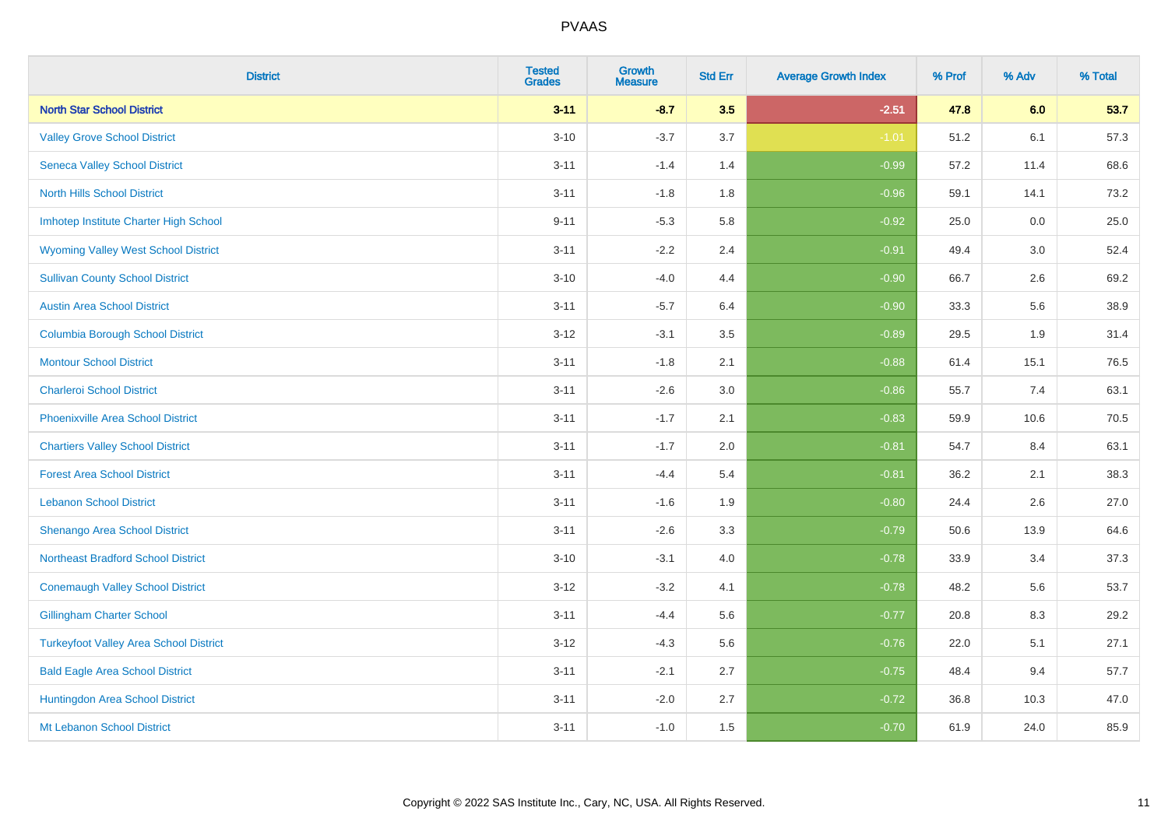| <b>District</b>                               | <b>Tested</b><br><b>Grades</b> | <b>Growth</b><br><b>Measure</b> | <b>Std Err</b> | <b>Average Growth Index</b> | % Prof | % Adv | % Total |
|-----------------------------------------------|--------------------------------|---------------------------------|----------------|-----------------------------|--------|-------|---------|
| <b>North Star School District</b>             | $3 - 11$                       | $-8.7$                          | 3.5            | $-2.51$                     | 47.8   | 6.0   | 53.7    |
| <b>Valley Grove School District</b>           | $3 - 10$                       | $-3.7$                          | 3.7            | $-1.01$                     | 51.2   | 6.1   | 57.3    |
| <b>Seneca Valley School District</b>          | $3 - 11$                       | $-1.4$                          | 1.4            | $-0.99$                     | 57.2   | 11.4  | 68.6    |
| <b>North Hills School District</b>            | $3 - 11$                       | $-1.8$                          | 1.8            | $-0.96$                     | 59.1   | 14.1  | 73.2    |
| Imhotep Institute Charter High School         | $9 - 11$                       | $-5.3$                          | 5.8            | $-0.92$                     | 25.0   | 0.0   | 25.0    |
| <b>Wyoming Valley West School District</b>    | $3 - 11$                       | $-2.2$                          | 2.4            | $-0.91$                     | 49.4   | 3.0   | 52.4    |
| <b>Sullivan County School District</b>        | $3 - 10$                       | $-4.0$                          | 4.4            | $-0.90$                     | 66.7   | 2.6   | 69.2    |
| <b>Austin Area School District</b>            | $3 - 11$                       | $-5.7$                          | 6.4            | $-0.90$                     | 33.3   | 5.6   | 38.9    |
| <b>Columbia Borough School District</b>       | $3 - 12$                       | $-3.1$                          | 3.5            | $-0.89$                     | 29.5   | 1.9   | 31.4    |
| <b>Montour School District</b>                | $3 - 11$                       | $-1.8$                          | 2.1            | $-0.88$                     | 61.4   | 15.1  | 76.5    |
| <b>Charleroi School District</b>              | $3 - 11$                       | $-2.6$                          | 3.0            | $-0.86$                     | 55.7   | 7.4   | 63.1    |
| <b>Phoenixville Area School District</b>      | $3 - 11$                       | $-1.7$                          | 2.1            | $-0.83$                     | 59.9   | 10.6  | 70.5    |
| <b>Chartiers Valley School District</b>       | $3 - 11$                       | $-1.7$                          | 2.0            | $-0.81$                     | 54.7   | 8.4   | 63.1    |
| <b>Forest Area School District</b>            | $3 - 11$                       | $-4.4$                          | 5.4            | $-0.81$                     | 36.2   | 2.1   | 38.3    |
| <b>Lebanon School District</b>                | $3 - 11$                       | $-1.6$                          | 1.9            | $-0.80$                     | 24.4   | 2.6   | 27.0    |
| Shenango Area School District                 | $3 - 11$                       | $-2.6$                          | 3.3            | $-0.79$                     | 50.6   | 13.9  | 64.6    |
| <b>Northeast Bradford School District</b>     | $3 - 10$                       | $-3.1$                          | 4.0            | $-0.78$                     | 33.9   | 3.4   | 37.3    |
| <b>Conemaugh Valley School District</b>       | $3 - 12$                       | $-3.2$                          | 4.1            | $-0.78$                     | 48.2   | 5.6   | 53.7    |
| <b>Gillingham Charter School</b>              | $3 - 11$                       | $-4.4$                          | 5.6            | $-0.77$                     | 20.8   | 8.3   | 29.2    |
| <b>Turkeyfoot Valley Area School District</b> | $3-12$                         | $-4.3$                          | 5.6            | $-0.76$                     | 22.0   | 5.1   | 27.1    |
| <b>Bald Eagle Area School District</b>        | $3 - 11$                       | $-2.1$                          | 2.7            | $-0.75$                     | 48.4   | 9.4   | 57.7    |
| Huntingdon Area School District               | $3 - 11$                       | $-2.0$                          | 2.7            | $-0.72$                     | 36.8   | 10.3  | 47.0    |
| Mt Lebanon School District                    | $3 - 11$                       | $-1.0$                          | 1.5            | $-0.70$                     | 61.9   | 24.0  | 85.9    |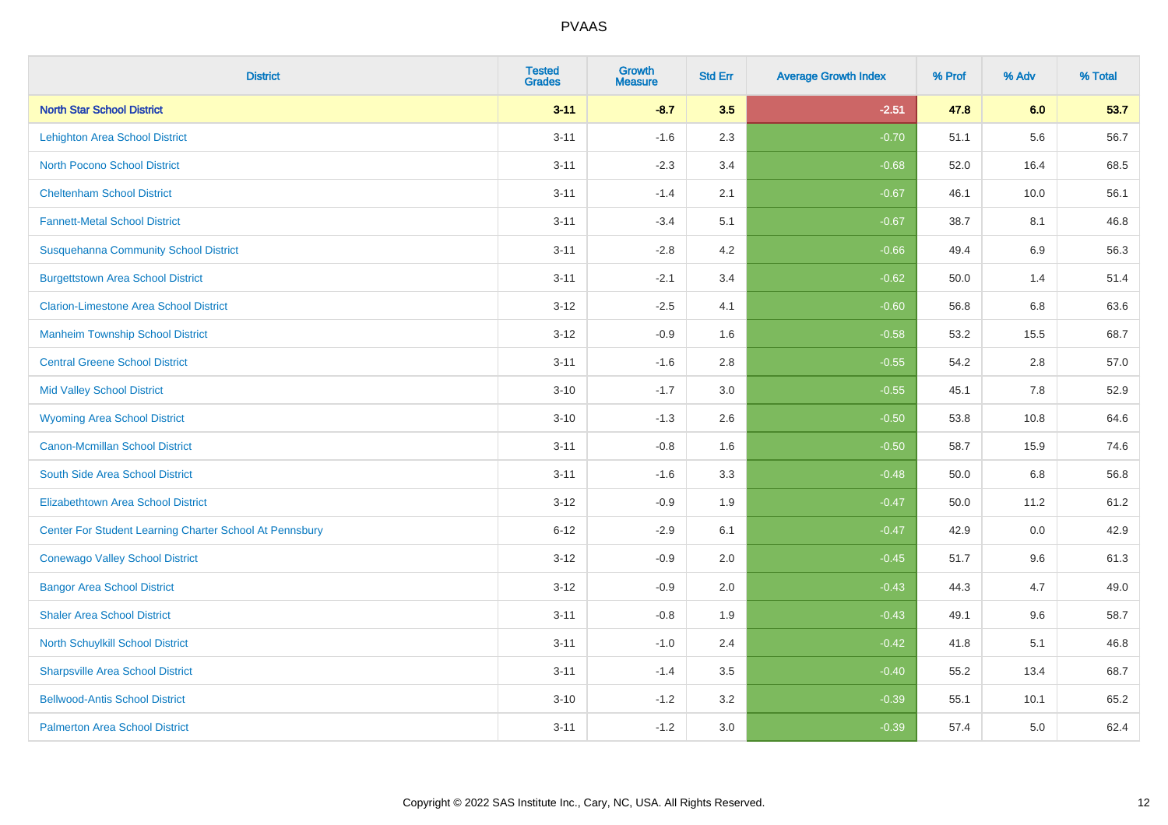| <b>District</b>                                         | <b>Tested</b><br><b>Grades</b> | <b>Growth</b><br><b>Measure</b> | <b>Std Err</b> | <b>Average Growth Index</b> | % Prof | % Adv | % Total |
|---------------------------------------------------------|--------------------------------|---------------------------------|----------------|-----------------------------|--------|-------|---------|
| <b>North Star School District</b>                       | $3 - 11$                       | $-8.7$                          | 3.5            | $-2.51$                     | 47.8   | 6.0   | 53.7    |
| <b>Lehighton Area School District</b>                   | $3 - 11$                       | $-1.6$                          | 2.3            | $-0.70$                     | 51.1   | 5.6   | 56.7    |
| <b>North Pocono School District</b>                     | $3 - 11$                       | $-2.3$                          | 3.4            | $-0.68$                     | 52.0   | 16.4  | 68.5    |
| <b>Cheltenham School District</b>                       | $3 - 11$                       | $-1.4$                          | 2.1            | $-0.67$                     | 46.1   | 10.0  | 56.1    |
| <b>Fannett-Metal School District</b>                    | $3 - 11$                       | $-3.4$                          | 5.1            | $-0.67$                     | 38.7   | 8.1   | 46.8    |
| <b>Susquehanna Community School District</b>            | $3 - 11$                       | $-2.8$                          | 4.2            | $-0.66$                     | 49.4   | 6.9   | 56.3    |
| <b>Burgettstown Area School District</b>                | $3 - 11$                       | $-2.1$                          | 3.4            | $-0.62$                     | 50.0   | 1.4   | 51.4    |
| <b>Clarion-Limestone Area School District</b>           | $3 - 12$                       | $-2.5$                          | 4.1            | $-0.60$                     | 56.8   | 6.8   | 63.6    |
| <b>Manheim Township School District</b>                 | $3 - 12$                       | $-0.9$                          | 1.6            | $-0.58$                     | 53.2   | 15.5  | 68.7    |
| <b>Central Greene School District</b>                   | $3 - 11$                       | $-1.6$                          | 2.8            | $-0.55$                     | 54.2   | 2.8   | 57.0    |
| <b>Mid Valley School District</b>                       | $3 - 10$                       | $-1.7$                          | 3.0            | $-0.55$                     | 45.1   | 7.8   | 52.9    |
| <b>Wyoming Area School District</b>                     | $3 - 10$                       | $-1.3$                          | 2.6            | $-0.50$                     | 53.8   | 10.8  | 64.6    |
| <b>Canon-Mcmillan School District</b>                   | $3 - 11$                       | $-0.8$                          | 1.6            | $-0.50$                     | 58.7   | 15.9  | 74.6    |
| South Side Area School District                         | $3 - 11$                       | $-1.6$                          | 3.3            | $-0.48$                     | 50.0   | 6.8   | 56.8    |
| <b>Elizabethtown Area School District</b>               | $3 - 12$                       | $-0.9$                          | 1.9            | $-0.47$                     | 50.0   | 11.2  | 61.2    |
| Center For Student Learning Charter School At Pennsbury | $6 - 12$                       | $-2.9$                          | 6.1            | $-0.47$                     | 42.9   | 0.0   | 42.9    |
| <b>Conewago Valley School District</b>                  | $3 - 12$                       | $-0.9$                          | 2.0            | $-0.45$                     | 51.7   | 9.6   | 61.3    |
| <b>Bangor Area School District</b>                      | $3 - 12$                       | $-0.9$                          | 2.0            | $-0.43$                     | 44.3   | 4.7   | 49.0    |
| <b>Shaler Area School District</b>                      | $3 - 11$                       | $-0.8$                          | 1.9            | $-0.43$                     | 49.1   | 9.6   | 58.7    |
| North Schuylkill School District                        | $3 - 11$                       | $-1.0$                          | 2.4            | $-0.42$                     | 41.8   | 5.1   | 46.8    |
| <b>Sharpsville Area School District</b>                 | $3 - 11$                       | $-1.4$                          | 3.5            | $-0.40$                     | 55.2   | 13.4  | 68.7    |
| <b>Bellwood-Antis School District</b>                   | $3 - 10$                       | $-1.2$                          | 3.2            | $-0.39$                     | 55.1   | 10.1  | 65.2    |
| <b>Palmerton Area School District</b>                   | $3 - 11$                       | $-1.2$                          | 3.0            | $-0.39$                     | 57.4   | 5.0   | 62.4    |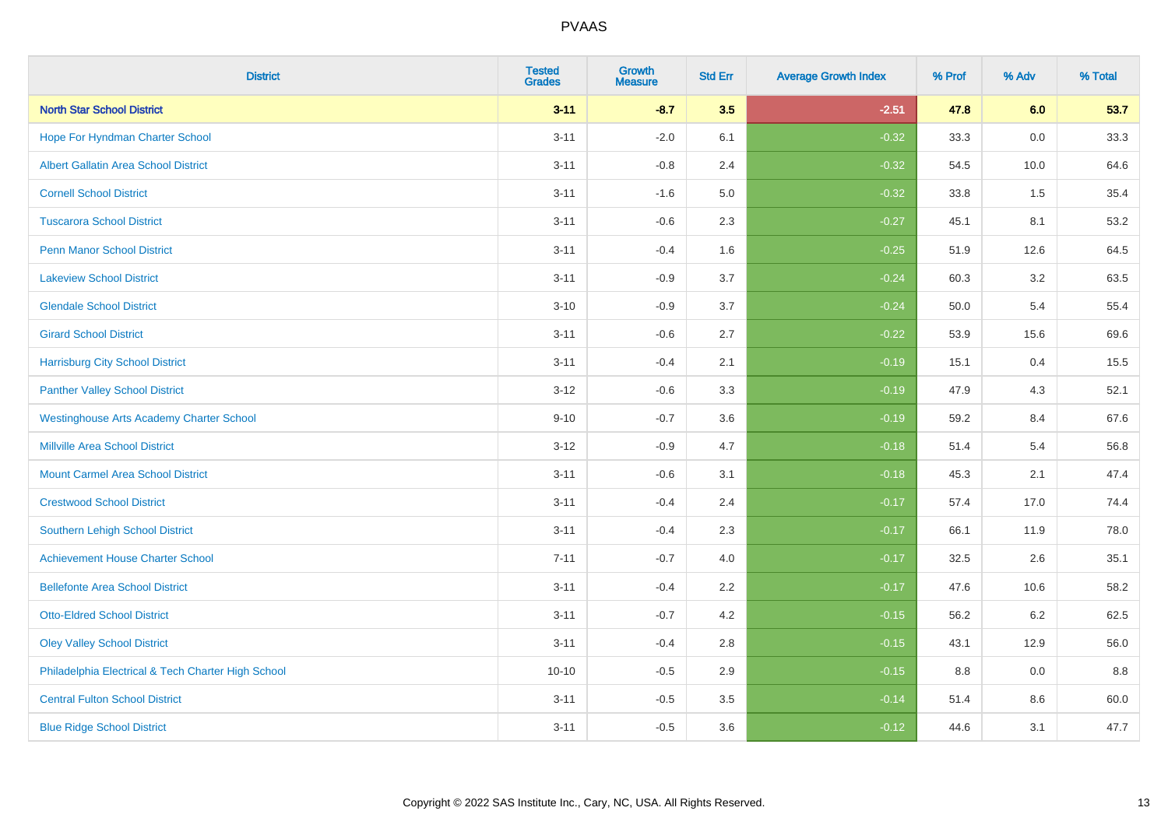| <b>District</b>                                    | <b>Tested</b><br><b>Grades</b> | Growth<br><b>Measure</b> | <b>Std Err</b> | <b>Average Growth Index</b> | % Prof | % Adv   | % Total |
|----------------------------------------------------|--------------------------------|--------------------------|----------------|-----------------------------|--------|---------|---------|
| <b>North Star School District</b>                  | $3 - 11$                       | $-8.7$                   | 3.5            | $-2.51$                     | 47.8   | 6.0     | 53.7    |
| Hope For Hyndman Charter School                    | $3 - 11$                       | $-2.0$                   | 6.1            | $-0.32$                     | 33.3   | 0.0     | 33.3    |
| <b>Albert Gallatin Area School District</b>        | $3 - 11$                       | $-0.8$                   | 2.4            | $-0.32$                     | 54.5   | 10.0    | 64.6    |
| <b>Cornell School District</b>                     | $3 - 11$                       | $-1.6$                   | 5.0            | $-0.32$                     | 33.8   | 1.5     | 35.4    |
| <b>Tuscarora School District</b>                   | $3 - 11$                       | $-0.6$                   | 2.3            | $-0.27$                     | 45.1   | 8.1     | 53.2    |
| <b>Penn Manor School District</b>                  | $3 - 11$                       | $-0.4$                   | 1.6            | $-0.25$                     | 51.9   | 12.6    | 64.5    |
| <b>Lakeview School District</b>                    | $3 - 11$                       | $-0.9$                   | 3.7            | $-0.24$                     | 60.3   | 3.2     | 63.5    |
| <b>Glendale School District</b>                    | $3 - 10$                       | $-0.9$                   | 3.7            | $-0.24$                     | 50.0   | 5.4     | 55.4    |
| <b>Girard School District</b>                      | $3 - 11$                       | $-0.6$                   | 2.7            | $-0.22$                     | 53.9   | 15.6    | 69.6    |
| <b>Harrisburg City School District</b>             | $3 - 11$                       | $-0.4$                   | 2.1            | $-0.19$                     | 15.1   | 0.4     | 15.5    |
| <b>Panther Valley School District</b>              | $3 - 12$                       | $-0.6$                   | 3.3            | $-0.19$                     | 47.9   | 4.3     | 52.1    |
| <b>Westinghouse Arts Academy Charter School</b>    | $9 - 10$                       | $-0.7$                   | 3.6            | $-0.19$                     | 59.2   | 8.4     | 67.6    |
| <b>Millville Area School District</b>              | $3 - 12$                       | $-0.9$                   | 4.7            | $-0.18$                     | 51.4   | 5.4     | 56.8    |
| <b>Mount Carmel Area School District</b>           | $3 - 11$                       | $-0.6$                   | 3.1            | $-0.18$                     | 45.3   | 2.1     | 47.4    |
| <b>Crestwood School District</b>                   | $3 - 11$                       | $-0.4$                   | 2.4            | $-0.17$                     | 57.4   | 17.0    | 74.4    |
| Southern Lehigh School District                    | $3 - 11$                       | $-0.4$                   | 2.3            | $-0.17$                     | 66.1   | 11.9    | 78.0    |
| <b>Achievement House Charter School</b>            | $7 - 11$                       | $-0.7$                   | 4.0            | $-0.17$                     | 32.5   | 2.6     | 35.1    |
| <b>Bellefonte Area School District</b>             | $3 - 11$                       | $-0.4$                   | 2.2            | $-0.17$                     | 47.6   | 10.6    | 58.2    |
| <b>Otto-Eldred School District</b>                 | $3 - 11$                       | $-0.7$                   | 4.2            | $-0.15$                     | 56.2   | $6.2\,$ | 62.5    |
| <b>Oley Valley School District</b>                 | $3 - 11$                       | $-0.4$                   | 2.8            | $-0.15$                     | 43.1   | 12.9    | 56.0    |
| Philadelphia Electrical & Tech Charter High School | $10 - 10$                      | $-0.5$                   | 2.9            | $-0.15$                     | 8.8    | 0.0     | 8.8     |
| <b>Central Fulton School District</b>              | $3 - 11$                       | $-0.5$                   | 3.5            | $-0.14$                     | 51.4   | 8.6     | 60.0    |
| <b>Blue Ridge School District</b>                  | $3 - 11$                       | $-0.5$                   | 3.6            | $-0.12$                     | 44.6   | 3.1     | 47.7    |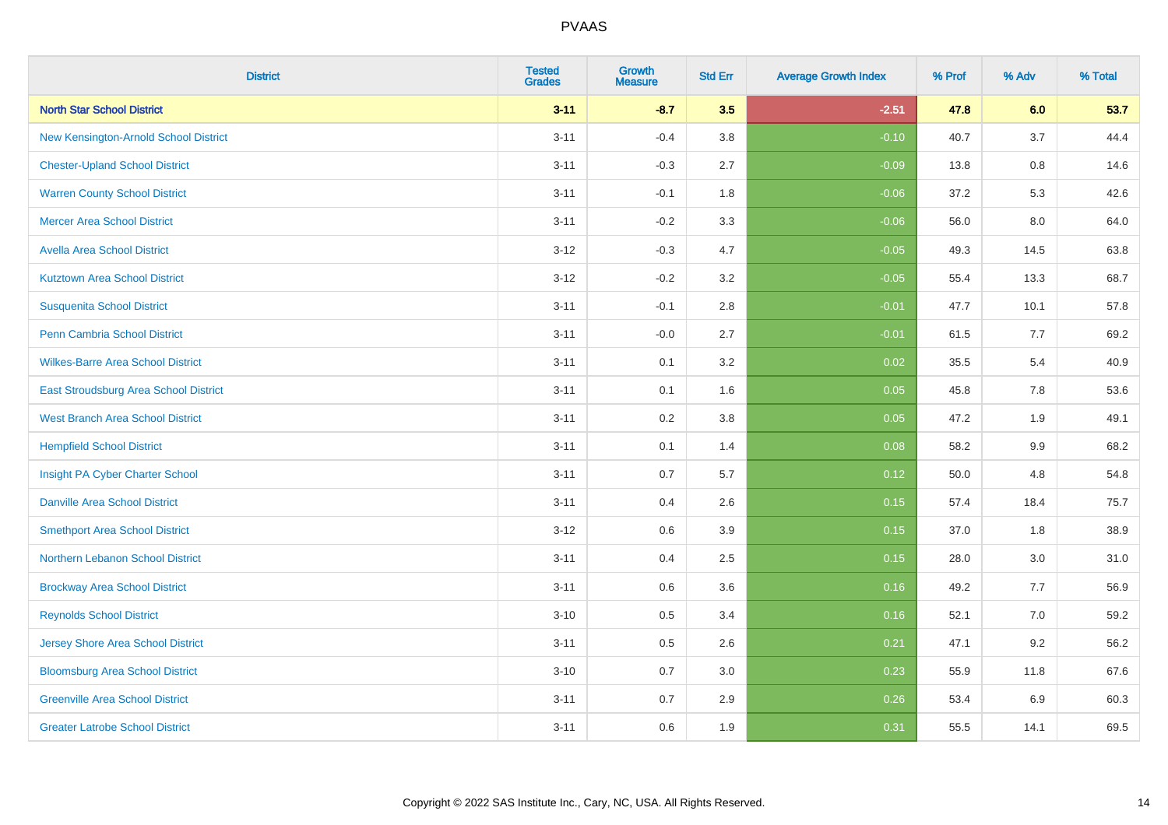| <b>District</b>                          | <b>Tested</b><br><b>Grades</b> | <b>Growth</b><br><b>Measure</b> | <b>Std Err</b> | <b>Average Growth Index</b> | % Prof | % Adv   | % Total |
|------------------------------------------|--------------------------------|---------------------------------|----------------|-----------------------------|--------|---------|---------|
| <b>North Star School District</b>        | $3 - 11$                       | $-8.7$                          | 3.5            | $-2.51$                     | 47.8   | 6.0     | 53.7    |
| New Kensington-Arnold School District    | $3 - 11$                       | $-0.4$                          | 3.8            | $-0.10$                     | 40.7   | 3.7     | 44.4    |
| <b>Chester-Upland School District</b>    | $3 - 11$                       | $-0.3$                          | 2.7            | $-0.09$                     | 13.8   | $0.8\,$ | 14.6    |
| <b>Warren County School District</b>     | $3 - 11$                       | $-0.1$                          | 1.8            | $-0.06$                     | 37.2   | 5.3     | 42.6    |
| <b>Mercer Area School District</b>       | $3 - 11$                       | $-0.2$                          | 3.3            | $-0.06$                     | 56.0   | 8.0     | 64.0    |
| <b>Avella Area School District</b>       | $3 - 12$                       | $-0.3$                          | 4.7            | $-0.05$                     | 49.3   | 14.5    | 63.8    |
| <b>Kutztown Area School District</b>     | $3 - 12$                       | $-0.2$                          | 3.2            | $-0.05$                     | 55.4   | 13.3    | 68.7    |
| <b>Susquenita School District</b>        | $3 - 11$                       | $-0.1$                          | 2.8            | $-0.01$                     | 47.7   | 10.1    | 57.8    |
| <b>Penn Cambria School District</b>      | $3 - 11$                       | $-0.0$                          | 2.7            | $-0.01$                     | 61.5   | 7.7     | 69.2    |
| <b>Wilkes-Barre Area School District</b> | $3 - 11$                       | 0.1                             | 3.2            | 0.02                        | 35.5   | 5.4     | 40.9    |
| East Stroudsburg Area School District    | $3 - 11$                       | 0.1                             | 1.6            | 0.05                        | 45.8   | 7.8     | 53.6    |
| <b>West Branch Area School District</b>  | $3 - 11$                       | 0.2                             | 3.8            | 0.05                        | 47.2   | 1.9     | 49.1    |
| <b>Hempfield School District</b>         | $3 - 11$                       | 0.1                             | 1.4            | 0.08                        | 58.2   | $9.9\,$ | 68.2    |
| Insight PA Cyber Charter School          | $3 - 11$                       | 0.7                             | 5.7            | 0.12                        | 50.0   | 4.8     | 54.8    |
| <b>Danville Area School District</b>     | $3 - 11$                       | 0.4                             | 2.6            | 0.15                        | 57.4   | 18.4    | 75.7    |
| <b>Smethport Area School District</b>    | $3 - 12$                       | $0.6\,$                         | 3.9            | 0.15                        | 37.0   | 1.8     | 38.9    |
| Northern Lebanon School District         | $3 - 11$                       | 0.4                             | 2.5            | 0.15                        | 28.0   | 3.0     | 31.0    |
| <b>Brockway Area School District</b>     | $3 - 11$                       | 0.6                             | 3.6            | 0.16                        | 49.2   | 7.7     | 56.9    |
| <b>Reynolds School District</b>          | $3 - 10$                       | 0.5                             | 3.4            | 0.16                        | 52.1   | 7.0     | 59.2    |
| <b>Jersey Shore Area School District</b> | $3 - 11$                       | 0.5                             | 2.6            | 0.21                        | 47.1   | 9.2     | 56.2    |
| <b>Bloomsburg Area School District</b>   | $3 - 10$                       | 0.7                             | 3.0            | 0.23                        | 55.9   | 11.8    | 67.6    |
| <b>Greenville Area School District</b>   | $3 - 11$                       | 0.7                             | 2.9            | 0.26                        | 53.4   | 6.9     | 60.3    |
| <b>Greater Latrobe School District</b>   | $3 - 11$                       | 0.6                             | 1.9            | 0.31                        | 55.5   | 14.1    | 69.5    |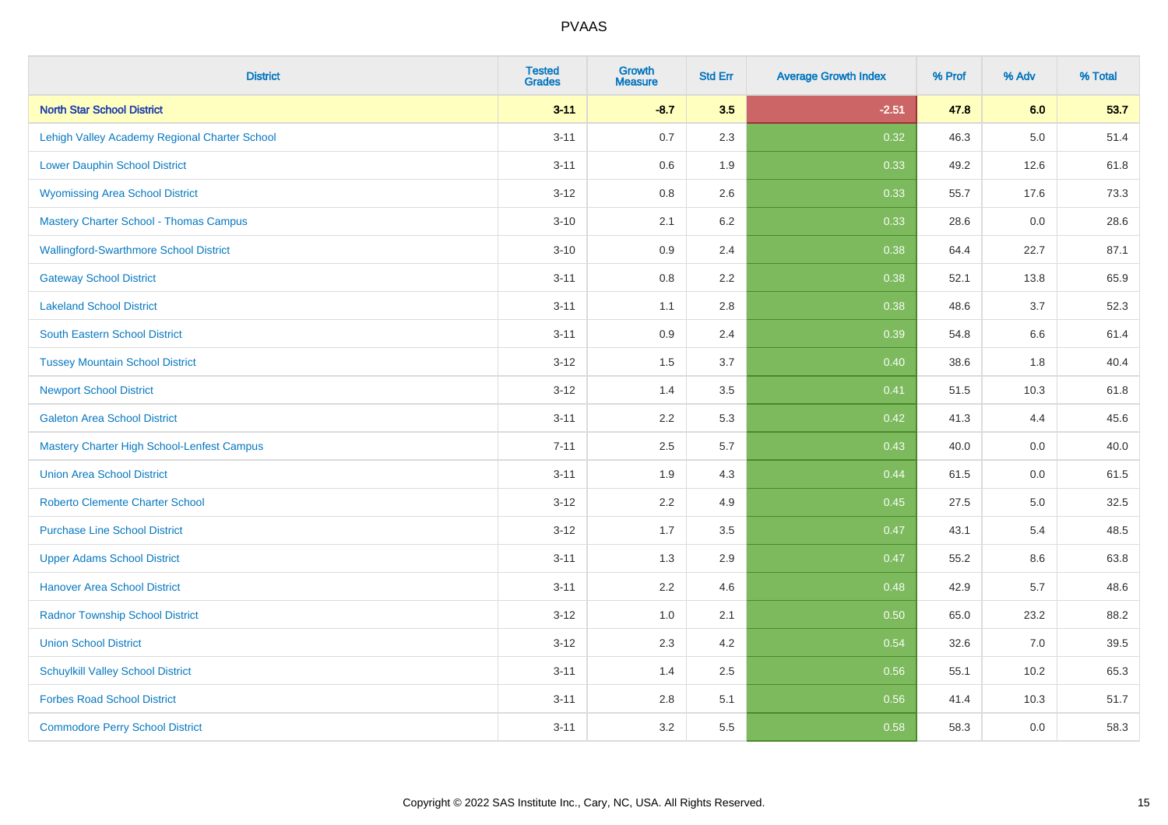| <b>District</b>                                   | <b>Tested</b><br><b>Grades</b> | <b>Growth</b><br><b>Measure</b> | <b>Std Err</b> | <b>Average Growth Index</b> | % Prof | % Adv   | % Total |
|---------------------------------------------------|--------------------------------|---------------------------------|----------------|-----------------------------|--------|---------|---------|
| <b>North Star School District</b>                 | $3 - 11$                       | $-8.7$                          | 3.5            | $-2.51$                     | 47.8   | 6.0     | 53.7    |
| Lehigh Valley Academy Regional Charter School     | $3 - 11$                       | 0.7                             | 2.3            | 0.32                        | 46.3   | $5.0\,$ | 51.4    |
| <b>Lower Dauphin School District</b>              | $3 - 11$                       | 0.6                             | 1.9            | 0.33                        | 49.2   | 12.6    | 61.8    |
| <b>Wyomissing Area School District</b>            | $3 - 12$                       | 0.8                             | 2.6            | 0.33                        | 55.7   | 17.6    | 73.3    |
| <b>Mastery Charter School - Thomas Campus</b>     | $3 - 10$                       | 2.1                             | 6.2            | 0.33                        | 28.6   | 0.0     | 28.6    |
| <b>Wallingford-Swarthmore School District</b>     | $3 - 10$                       | 0.9                             | 2.4            | 0.38                        | 64.4   | 22.7    | 87.1    |
| <b>Gateway School District</b>                    | $3 - 11$                       | 0.8                             | 2.2            | 0.38                        | 52.1   | 13.8    | 65.9    |
| <b>Lakeland School District</b>                   | $3 - 11$                       | 1.1                             | 2.8            | 0.38                        | 48.6   | 3.7     | 52.3    |
| <b>South Eastern School District</b>              | $3 - 11$                       | 0.9                             | 2.4            | 0.39                        | 54.8   | 6.6     | 61.4    |
| <b>Tussey Mountain School District</b>            | $3 - 12$                       | 1.5                             | 3.7            | 0.40                        | 38.6   | 1.8     | 40.4    |
| <b>Newport School District</b>                    | $3 - 12$                       | 1.4                             | 3.5            | 0.41                        | 51.5   | 10.3    | 61.8    |
| <b>Galeton Area School District</b>               | $3 - 11$                       | 2.2                             | 5.3            | 0.42                        | 41.3   | 4.4     | 45.6    |
| <b>Mastery Charter High School-Lenfest Campus</b> | $7 - 11$                       | 2.5                             | 5.7            | 0.43                        | 40.0   | $0.0\,$ | 40.0    |
| <b>Union Area School District</b>                 | $3 - 11$                       | 1.9                             | 4.3            | 0.44                        | 61.5   | 0.0     | 61.5    |
| <b>Roberto Clemente Charter School</b>            | $3 - 12$                       | 2.2                             | 4.9            | $\boxed{0.45}$              | 27.5   | $5.0\,$ | 32.5    |
| <b>Purchase Line School District</b>              | $3 - 12$                       | 1.7                             | 3.5            | 0.47                        | 43.1   | 5.4     | 48.5    |
| <b>Upper Adams School District</b>                | $3 - 11$                       | 1.3                             | 2.9            | 0.47                        | 55.2   | 8.6     | 63.8    |
| <b>Hanover Area School District</b>               | $3 - 11$                       | 2.2                             | 4.6            | 0.48                        | 42.9   | 5.7     | 48.6    |
| <b>Radnor Township School District</b>            | $3 - 12$                       | 1.0                             | 2.1            | 0.50                        | 65.0   | 23.2    | 88.2    |
| <b>Union School District</b>                      | $3 - 12$                       | 2.3                             | 4.2            | 0.54                        | 32.6   | 7.0     | 39.5    |
| <b>Schuylkill Valley School District</b>          | $3 - 11$                       | 1.4                             | 2.5            | 0.56                        | 55.1   | 10.2    | 65.3    |
| <b>Forbes Road School District</b>                | $3 - 11$                       | $2.8\,$                         | 5.1            | 0.56                        | 41.4   | 10.3    | 51.7    |
| <b>Commodore Perry School District</b>            | $3 - 11$                       | 3.2                             | 5.5            | 0.58                        | 58.3   | 0.0     | 58.3    |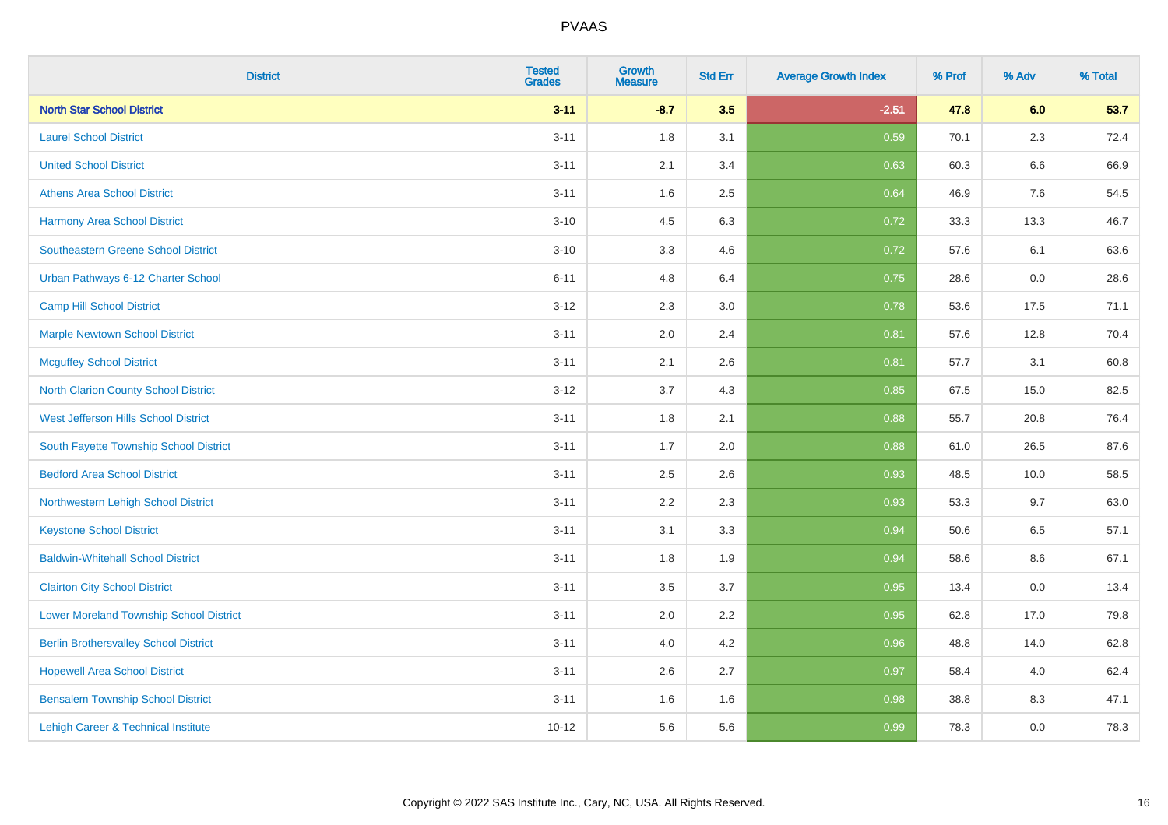| <b>District</b>                                | <b>Tested</b><br><b>Grades</b> | <b>Growth</b><br><b>Measure</b> | <b>Std Err</b> | <b>Average Growth Index</b> | % Prof | % Adv   | % Total |
|------------------------------------------------|--------------------------------|---------------------------------|----------------|-----------------------------|--------|---------|---------|
| <b>North Star School District</b>              | $3 - 11$                       | $-8.7$                          | 3.5            | $-2.51$                     | 47.8   | 6.0     | 53.7    |
| <b>Laurel School District</b>                  | $3 - 11$                       | 1.8                             | 3.1            | 0.59                        | 70.1   | $2.3\,$ | 72.4    |
| <b>United School District</b>                  | $3 - 11$                       | 2.1                             | 3.4            | 0.63                        | 60.3   | 6.6     | 66.9    |
| <b>Athens Area School District</b>             | $3 - 11$                       | 1.6                             | 2.5            | 0.64                        | 46.9   | 7.6     | 54.5    |
| <b>Harmony Area School District</b>            | $3 - 10$                       | 4.5                             | 6.3            | 0.72                        | 33.3   | 13.3    | 46.7    |
| <b>Southeastern Greene School District</b>     | $3 - 10$                       | 3.3                             | 4.6            | 0.72                        | 57.6   | 6.1     | 63.6    |
| Urban Pathways 6-12 Charter School             | $6 - 11$                       | 4.8                             | 6.4            | 0.75                        | 28.6   | 0.0     | 28.6    |
| <b>Camp Hill School District</b>               | $3 - 12$                       | 2.3                             | 3.0            | 0.78                        | 53.6   | 17.5    | 71.1    |
| <b>Marple Newtown School District</b>          | $3 - 11$                       | 2.0                             | 2.4            | 0.81                        | 57.6   | 12.8    | 70.4    |
| <b>Mcguffey School District</b>                | $3 - 11$                       | 2.1                             | 2.6            | 0.81                        | 57.7   | 3.1     | 60.8    |
| North Clarion County School District           | $3 - 12$                       | 3.7                             | 4.3            | 0.85                        | 67.5   | 15.0    | 82.5    |
| <b>West Jefferson Hills School District</b>    | $3 - 11$                       | 1.8                             | 2.1            | 0.88                        | 55.7   | 20.8    | 76.4    |
| South Fayette Township School District         | $3 - 11$                       | 1.7                             | 2.0            | 0.88                        | 61.0   | 26.5    | 87.6    |
| <b>Bedford Area School District</b>            | $3 - 11$                       | 2.5                             | 2.6            | 0.93                        | 48.5   | 10.0    | 58.5    |
| Northwestern Lehigh School District            | $3 - 11$                       | 2.2                             | 2.3            | 0.93                        | 53.3   | 9.7     | 63.0    |
| <b>Keystone School District</b>                | $3 - 11$                       | 3.1                             | 3.3            | 0.94                        | 50.6   | 6.5     | 57.1    |
| <b>Baldwin-Whitehall School District</b>       | $3 - 11$                       | 1.8                             | 1.9            | 0.94                        | 58.6   | 8.6     | 67.1    |
| <b>Clairton City School District</b>           | $3 - 11$                       | 3.5                             | 3.7            | 0.95                        | 13.4   | 0.0     | 13.4    |
| <b>Lower Moreland Township School District</b> | $3 - 11$                       | 2.0                             | 2.2            | 0.95                        | 62.8   | 17.0    | 79.8    |
| <b>Berlin Brothersvalley School District</b>   | $3 - 11$                       | 4.0                             | 4.2            | 0.96                        | 48.8   | 14.0    | 62.8    |
| <b>Hopewell Area School District</b>           | $3 - 11$                       | 2.6                             | 2.7            | 0.97                        | 58.4   | 4.0     | 62.4    |
| <b>Bensalem Township School District</b>       | $3 - 11$                       | 1.6                             | 1.6            | 0.98                        | 38.8   | 8.3     | 47.1    |
| Lehigh Career & Technical Institute            | $10 - 12$                      | 5.6                             | 5.6            | 0.99                        | 78.3   | 0.0     | 78.3    |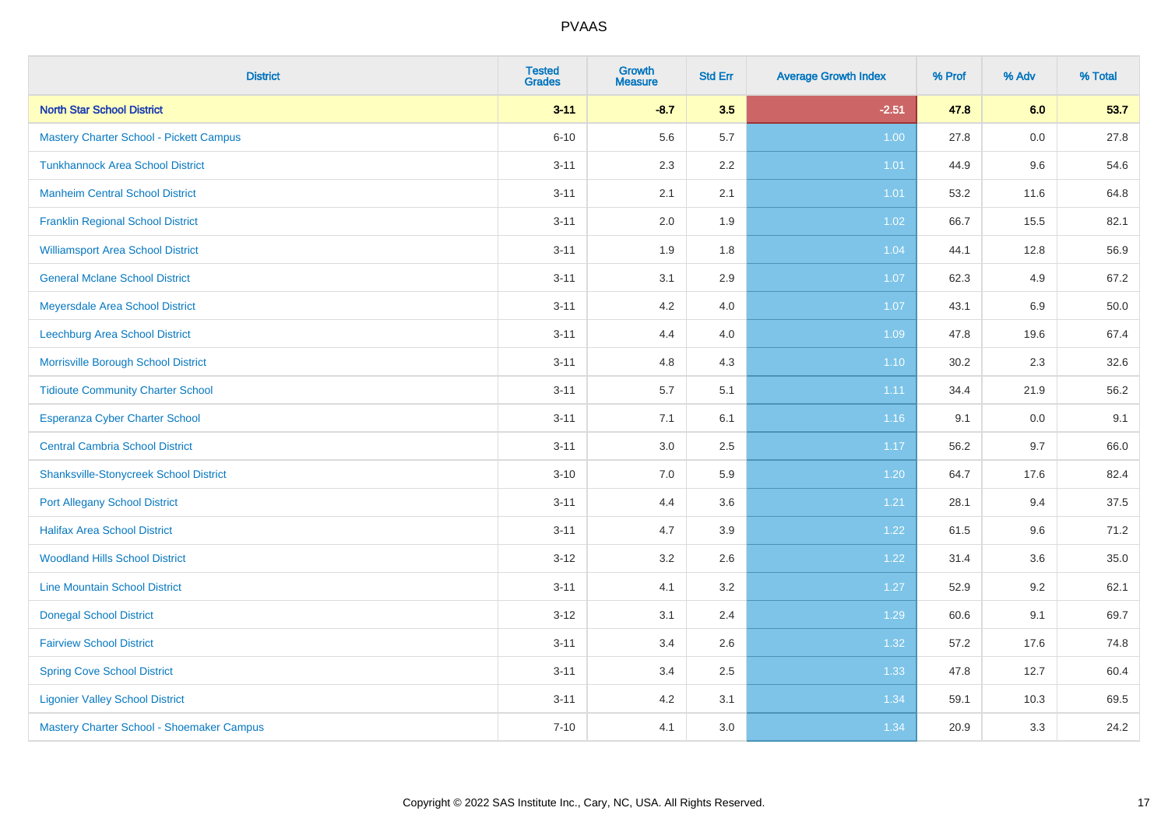| <b>District</b>                                | <b>Tested</b><br><b>Grades</b> | <b>Growth</b><br><b>Measure</b> | <b>Std Err</b> | <b>Average Growth Index</b> | % Prof | % Adv | % Total |
|------------------------------------------------|--------------------------------|---------------------------------|----------------|-----------------------------|--------|-------|---------|
| <b>North Star School District</b>              | $3 - 11$                       | $-8.7$                          | 3.5            | $-2.51$                     | 47.8   | 6.0   | 53.7    |
| <b>Mastery Charter School - Pickett Campus</b> | $6 - 10$                       | 5.6                             | 5.7            | 1.00                        | 27.8   | 0.0   | 27.8    |
| <b>Tunkhannock Area School District</b>        | $3 - 11$                       | 2.3                             | 2.2            | 1.01                        | 44.9   | 9.6   | 54.6    |
| <b>Manheim Central School District</b>         | $3 - 11$                       | 2.1                             | 2.1            | 1.01                        | 53.2   | 11.6  | 64.8    |
| <b>Franklin Regional School District</b>       | $3 - 11$                       | 2.0                             | 1.9            | 1.02                        | 66.7   | 15.5  | 82.1    |
| <b>Williamsport Area School District</b>       | $3 - 11$                       | 1.9                             | 1.8            | 1.04                        | 44.1   | 12.8  | 56.9    |
| <b>General Mclane School District</b>          | $3 - 11$                       | 3.1                             | 2.9            | 1.07                        | 62.3   | 4.9   | 67.2    |
| <b>Meyersdale Area School District</b>         | $3 - 11$                       | 4.2                             | 4.0            | 1.07                        | 43.1   | 6.9   | 50.0    |
| Leechburg Area School District                 | $3 - 11$                       | 4.4                             | 4.0            | 1.09                        | 47.8   | 19.6  | 67.4    |
| Morrisville Borough School District            | $3 - 11$                       | 4.8                             | 4.3            | 1.10                        | 30.2   | 2.3   | 32.6    |
| <b>Tidioute Community Charter School</b>       | $3 - 11$                       | 5.7                             | 5.1            | 1.11                        | 34.4   | 21.9  | 56.2    |
| Esperanza Cyber Charter School                 | $3 - 11$                       | 7.1                             | 6.1            | 1.16                        | 9.1    | 0.0   | 9.1     |
| <b>Central Cambria School District</b>         | $3 - 11$                       | $3.0\,$                         | 2.5            | 1.17                        | 56.2   | 9.7   | 66.0    |
| <b>Shanksville-Stonycreek School District</b>  | $3 - 10$                       | 7.0                             | 5.9            | 1.20                        | 64.7   | 17.6  | 82.4    |
| <b>Port Allegany School District</b>           | $3 - 11$                       | 4.4                             | 3.6            | 1.21                        | 28.1   | 9.4   | 37.5    |
| <b>Halifax Area School District</b>            | $3 - 11$                       | 4.7                             | 3.9            | 1.22                        | 61.5   | 9.6   | 71.2    |
| <b>Woodland Hills School District</b>          | $3 - 12$                       | 3.2                             | 2.6            | 1.22                        | 31.4   | 3.6   | 35.0    |
| <b>Line Mountain School District</b>           | $3 - 11$                       | 4.1                             | 3.2            | 1.27                        | 52.9   | 9.2   | 62.1    |
| <b>Donegal School District</b>                 | $3 - 12$                       | 3.1                             | 2.4            | 1.29                        | 60.6   | 9.1   | 69.7    |
| <b>Fairview School District</b>                | $3 - 11$                       | 3.4                             | 2.6            | 1.32                        | 57.2   | 17.6  | 74.8    |
| <b>Spring Cove School District</b>             | $3 - 11$                       | 3.4                             | 2.5            | 1.33                        | 47.8   | 12.7  | 60.4    |
| <b>Ligonier Valley School District</b>         | $3 - 11$                       | 4.2                             | 3.1            | 1.34                        | 59.1   | 10.3  | 69.5    |
| Mastery Charter School - Shoemaker Campus      | $7 - 10$                       | 4.1                             | 3.0            | 1.34                        | 20.9   | 3.3   | 24.2    |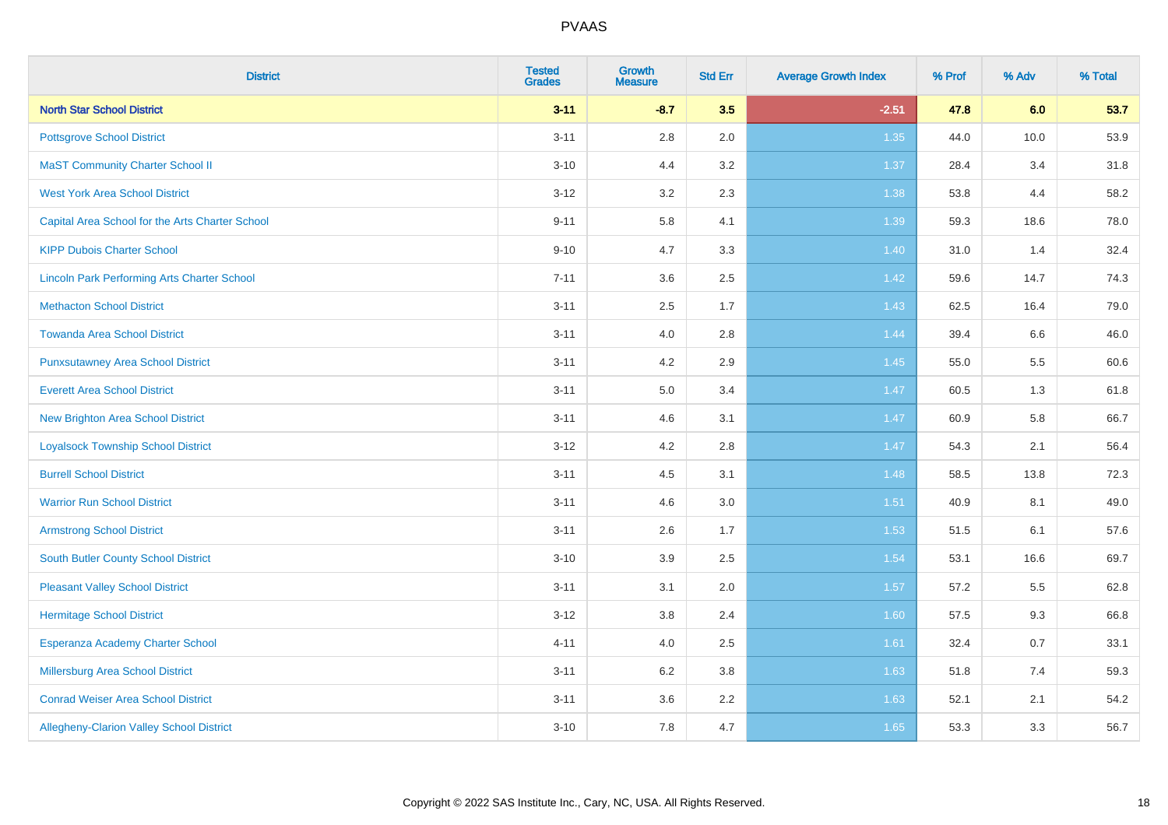| <b>District</b>                                    | <b>Tested</b><br><b>Grades</b> | <b>Growth</b><br><b>Measure</b> | <b>Std Err</b> | <b>Average Growth Index</b> | % Prof | % Adv | % Total |
|----------------------------------------------------|--------------------------------|---------------------------------|----------------|-----------------------------|--------|-------|---------|
| <b>North Star School District</b>                  | $3 - 11$                       | $-8.7$                          | 3.5            | $-2.51$                     | 47.8   | 6.0   | 53.7    |
| <b>Pottsgrove School District</b>                  | $3 - 11$                       | $2.8\,$                         | 2.0            | 1.35                        | 44.0   | 10.0  | 53.9    |
| <b>MaST Community Charter School II</b>            | $3 - 10$                       | 4.4                             | 3.2            | 1.37                        | 28.4   | 3.4   | 31.8    |
| <b>West York Area School District</b>              | $3 - 12$                       | 3.2                             | 2.3            | 1.38                        | 53.8   | 4.4   | 58.2    |
| Capital Area School for the Arts Charter School    | $9 - 11$                       | 5.8                             | 4.1            | 1.39                        | 59.3   | 18.6  | 78.0    |
| <b>KIPP Dubois Charter School</b>                  | $9 - 10$                       | 4.7                             | 3.3            | 1.40                        | 31.0   | 1.4   | 32.4    |
| <b>Lincoln Park Performing Arts Charter School</b> | $7 - 11$                       | 3.6                             | 2.5            | 1.42                        | 59.6   | 14.7  | 74.3    |
| <b>Methacton School District</b>                   | $3 - 11$                       | 2.5                             | 1.7            | 1.43                        | 62.5   | 16.4  | 79.0    |
| <b>Towanda Area School District</b>                | $3 - 11$                       | 4.0                             | 2.8            | 1.44                        | 39.4   | 6.6   | 46.0    |
| <b>Punxsutawney Area School District</b>           | $3 - 11$                       | 4.2                             | 2.9            | 1.45                        | 55.0   | 5.5   | 60.6    |
| <b>Everett Area School District</b>                | $3 - 11$                       | 5.0                             | 3.4            | 1.47                        | 60.5   | 1.3   | 61.8    |
| <b>New Brighton Area School District</b>           | $3 - 11$                       | 4.6                             | 3.1            | $1.47$                      | 60.9   | 5.8   | 66.7    |
| <b>Loyalsock Township School District</b>          | $3 - 12$                       | 4.2                             | 2.8            | 1.47                        | 54.3   | 2.1   | 56.4    |
| <b>Burrell School District</b>                     | $3 - 11$                       | 4.5                             | 3.1            | 1.48                        | 58.5   | 13.8  | 72.3    |
| <b>Warrior Run School District</b>                 | $3 - 11$                       | 4.6                             | 3.0            | 1.51                        | 40.9   | 8.1   | 49.0    |
| <b>Armstrong School District</b>                   | $3 - 11$                       | 2.6                             | 1.7            | 1.53                        | 51.5   | 6.1   | 57.6    |
| <b>South Butler County School District</b>         | $3 - 10$                       | 3.9                             | 2.5            | 1.54                        | 53.1   | 16.6  | 69.7    |
| <b>Pleasant Valley School District</b>             | $3 - 11$                       | 3.1                             | 2.0            | 1.57                        | 57.2   | 5.5   | 62.8    |
| <b>Hermitage School District</b>                   | $3 - 12$                       | $3.8\,$                         | 2.4            | 1.60                        | 57.5   | 9.3   | 66.8    |
| Esperanza Academy Charter School                   | $4 - 11$                       | 4.0                             | 2.5            | 1.61                        | 32.4   | 0.7   | 33.1    |
| Millersburg Area School District                   | $3 - 11$                       | 6.2                             | 3.8            | 1.63                        | 51.8   | 7.4   | 59.3    |
| <b>Conrad Weiser Area School District</b>          | $3 - 11$                       | 3.6                             | 2.2            | 1.63                        | 52.1   | 2.1   | 54.2    |
| Allegheny-Clarion Valley School District           | $3 - 10$                       | 7.8                             | 4.7            | 1.65                        | 53.3   | 3.3   | 56.7    |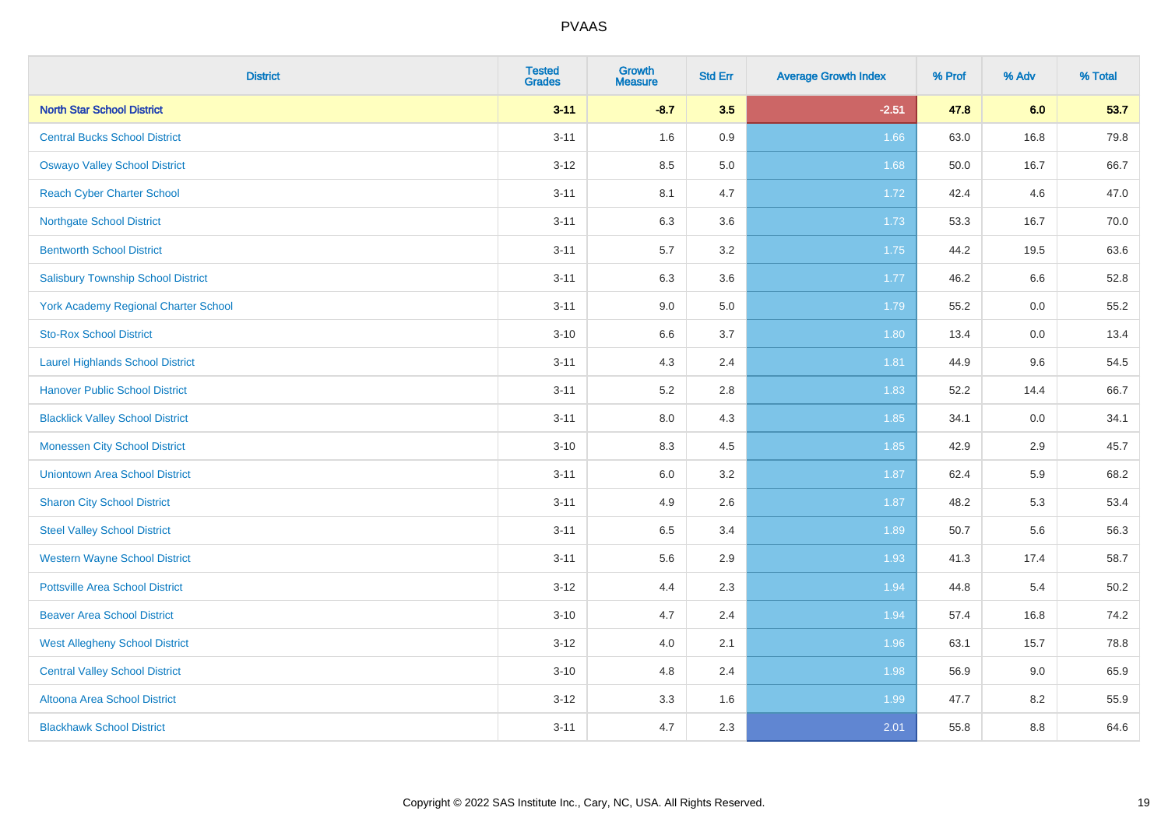| <b>District</b>                             | <b>Tested</b><br><b>Grades</b> | <b>Growth</b><br><b>Measure</b> | <b>Std Err</b> | <b>Average Growth Index</b> | % Prof | % Adv   | % Total |
|---------------------------------------------|--------------------------------|---------------------------------|----------------|-----------------------------|--------|---------|---------|
| <b>North Star School District</b>           | $3 - 11$                       | $-8.7$                          | 3.5            | $-2.51$                     | 47.8   | 6.0     | 53.7    |
| <b>Central Bucks School District</b>        | $3 - 11$                       | 1.6                             | 0.9            | 1.66                        | 63.0   | 16.8    | 79.8    |
| <b>Oswayo Valley School District</b>        | $3 - 12$                       | 8.5                             | 5.0            | 1.68                        | 50.0   | 16.7    | 66.7    |
| <b>Reach Cyber Charter School</b>           | $3 - 11$                       | 8.1                             | 4.7            | 1.72                        | 42.4   | 4.6     | 47.0    |
| <b>Northgate School District</b>            | $3 - 11$                       | 6.3                             | 3.6            | 1.73                        | 53.3   | 16.7    | 70.0    |
| <b>Bentworth School District</b>            | $3 - 11$                       | 5.7                             | 3.2            | 1.75                        | 44.2   | 19.5    | 63.6    |
| <b>Salisbury Township School District</b>   | $3 - 11$                       | 6.3                             | 3.6            | 1.77                        | 46.2   | 6.6     | 52.8    |
| <b>York Academy Regional Charter School</b> | $3 - 11$                       | 9.0                             | 5.0            | 1.79                        | 55.2   | 0.0     | 55.2    |
| <b>Sto-Rox School District</b>              | $3 - 10$                       | 6.6                             | 3.7            | 1.80                        | 13.4   | $0.0\,$ | 13.4    |
| <b>Laurel Highlands School District</b>     | $3 - 11$                       | 4.3                             | 2.4            | 1.81                        | 44.9   | 9.6     | 54.5    |
| <b>Hanover Public School District</b>       | $3 - 11$                       | 5.2                             | 2.8            | 1.83                        | 52.2   | 14.4    | 66.7    |
| <b>Blacklick Valley School District</b>     | $3 - 11$                       | 8.0                             | 4.3            | 1.85                        | 34.1   | 0.0     | 34.1    |
| <b>Monessen City School District</b>        | $3 - 10$                       | 8.3                             | 4.5            | 1.85                        | 42.9   | 2.9     | 45.7    |
| <b>Uniontown Area School District</b>       | $3 - 11$                       | 6.0                             | 3.2            | 1.87                        | 62.4   | 5.9     | 68.2    |
| <b>Sharon City School District</b>          | $3 - 11$                       | 4.9                             | 2.6            | 1.87                        | 48.2   | 5.3     | 53.4    |
| <b>Steel Valley School District</b>         | $3 - 11$                       | 6.5                             | 3.4            | 1.89                        | 50.7   | 5.6     | 56.3    |
| <b>Western Wayne School District</b>        | $3 - 11$                       | 5.6                             | 2.9            | 1.93                        | 41.3   | 17.4    | 58.7    |
| <b>Pottsville Area School District</b>      | $3-12$                         | 4.4                             | 2.3            | 1.94                        | 44.8   | 5.4     | 50.2    |
| <b>Beaver Area School District</b>          | $3 - 10$                       | 4.7                             | 2.4            | 1.94                        | 57.4   | 16.8    | 74.2    |
| <b>West Allegheny School District</b>       | $3-12$                         | 4.0                             | 2.1            | 1.96                        | 63.1   | 15.7    | 78.8    |
| <b>Central Valley School District</b>       | $3 - 10$                       | 4.8                             | 2.4            | 1.98                        | 56.9   | 9.0     | 65.9    |
| Altoona Area School District                | $3 - 12$                       | 3.3                             | 1.6            | 1.99                        | 47.7   | 8.2     | 55.9    |
| <b>Blackhawk School District</b>            | $3 - 11$                       | 4.7                             | 2.3            | 2.01                        | 55.8   | 8.8     | 64.6    |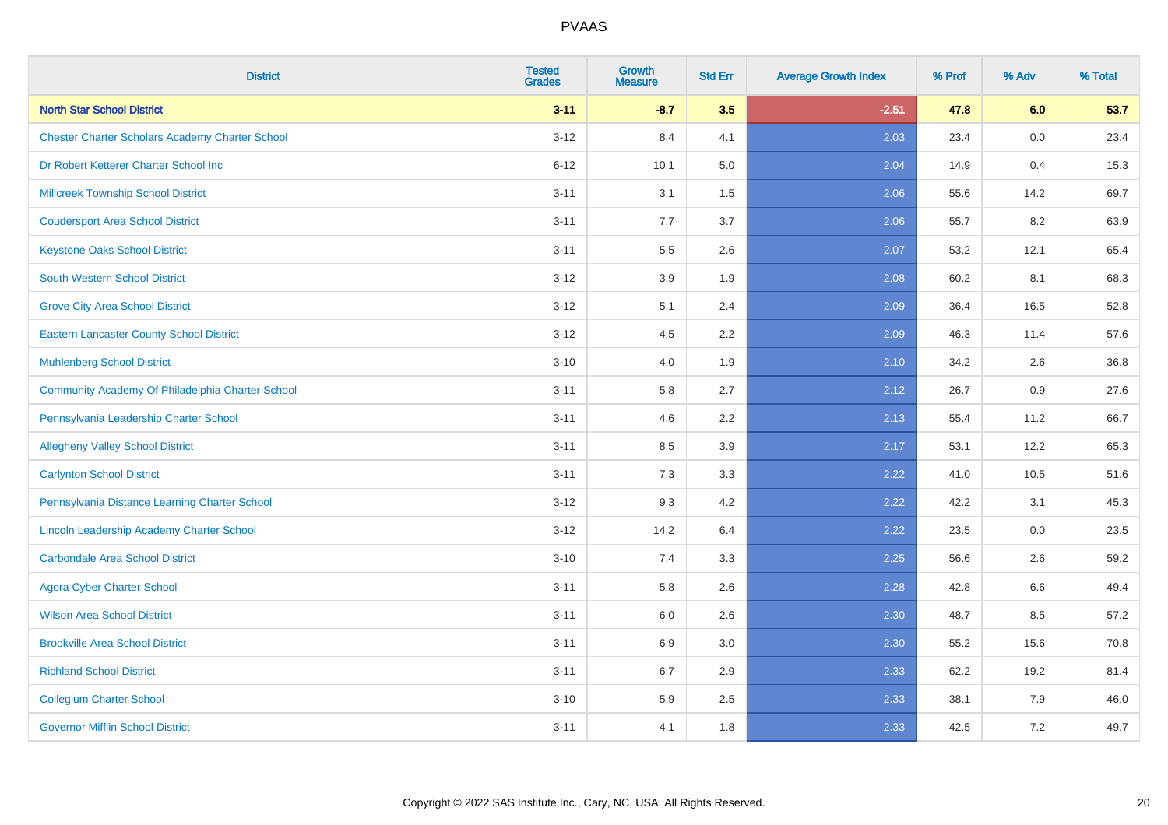| <b>District</b>                                        | <b>Tested</b><br><b>Grades</b> | <b>Growth</b><br><b>Measure</b> | <b>Std Err</b> | <b>Average Growth Index</b> | % Prof | % Adv | % Total |
|--------------------------------------------------------|--------------------------------|---------------------------------|----------------|-----------------------------|--------|-------|---------|
| <b>North Star School District</b>                      | $3 - 11$                       | $-8.7$                          | 3.5            | $-2.51$                     | 47.8   | 6.0   | 53.7    |
| <b>Chester Charter Scholars Academy Charter School</b> | $3 - 12$                       | 8.4                             | 4.1            | 2.03                        | 23.4   | 0.0   | 23.4    |
| Dr Robert Ketterer Charter School Inc                  | $6 - 12$                       | 10.1                            | 5.0            | 2.04                        | 14.9   | 0.4   | 15.3    |
| <b>Millcreek Township School District</b>              | $3 - 11$                       | 3.1                             | 1.5            | 2.06                        | 55.6   | 14.2  | 69.7    |
| <b>Coudersport Area School District</b>                | $3 - 11$                       | 7.7                             | 3.7            | 2.06                        | 55.7   | 8.2   | 63.9    |
| <b>Keystone Oaks School District</b>                   | $3 - 11$                       | 5.5                             | 2.6            | 2.07                        | 53.2   | 12.1  | 65.4    |
| South Western School District                          | $3 - 12$                       | 3.9                             | 1.9            | 2.08                        | 60.2   | 8.1   | 68.3    |
| <b>Grove City Area School District</b>                 | $3 - 12$                       | 5.1                             | 2.4            | 2.09                        | 36.4   | 16.5  | 52.8    |
| <b>Eastern Lancaster County School District</b>        | $3 - 12$                       | 4.5                             | 2.2            | 2.09                        | 46.3   | 11.4  | 57.6    |
| <b>Muhlenberg School District</b>                      | $3 - 10$                       | 4.0                             | 1.9            | 2.10                        | 34.2   | 2.6   | 36.8    |
| Community Academy Of Philadelphia Charter School       | $3 - 11$                       | 5.8                             | 2.7            | 2.12                        | 26.7   | 0.9   | 27.6    |
| Pennsylvania Leadership Charter School                 | $3 - 11$                       | 4.6                             | 2.2            | 2.13                        | 55.4   | 11.2  | 66.7    |
| <b>Allegheny Valley School District</b>                | $3 - 11$                       | 8.5                             | 3.9            | 2.17                        | 53.1   | 12.2  | 65.3    |
| <b>Carlynton School District</b>                       | $3 - 11$                       | 7.3                             | 3.3            | 2.22                        | 41.0   | 10.5  | 51.6    |
| Pennsylvania Distance Learning Charter School          | $3 - 12$                       | 9.3                             | 4.2            | 2.22                        | 42.2   | 3.1   | 45.3    |
| Lincoln Leadership Academy Charter School              | $3 - 12$                       | 14.2                            | 6.4            | 2.22                        | 23.5   | 0.0   | 23.5    |
| <b>Carbondale Area School District</b>                 | $3 - 10$                       | 7.4                             | 3.3            | 2.25                        | 56.6   | 2.6   | 59.2    |
| <b>Agora Cyber Charter School</b>                      | $3 - 11$                       | 5.8                             | 2.6            | 2.28                        | 42.8   | 6.6   | 49.4    |
| <b>Wilson Area School District</b>                     | $3 - 11$                       | 6.0                             | 2.6            | 2.30                        | 48.7   | 8.5   | 57.2    |
| <b>Brookville Area School District</b>                 | $3 - 11$                       | 6.9                             | 3.0            | 2.30                        | 55.2   | 15.6  | 70.8    |
| <b>Richland School District</b>                        | $3 - 11$                       | 6.7                             | 2.9            | 2.33                        | 62.2   | 19.2  | 81.4    |
| <b>Collegium Charter School</b>                        | $3 - 10$                       | 5.9                             | 2.5            | 2.33                        | 38.1   | 7.9   | 46.0    |
| <b>Governor Mifflin School District</b>                | $3 - 11$                       | 4.1                             | 1.8            | 2.33                        | 42.5   | 7.2   | 49.7    |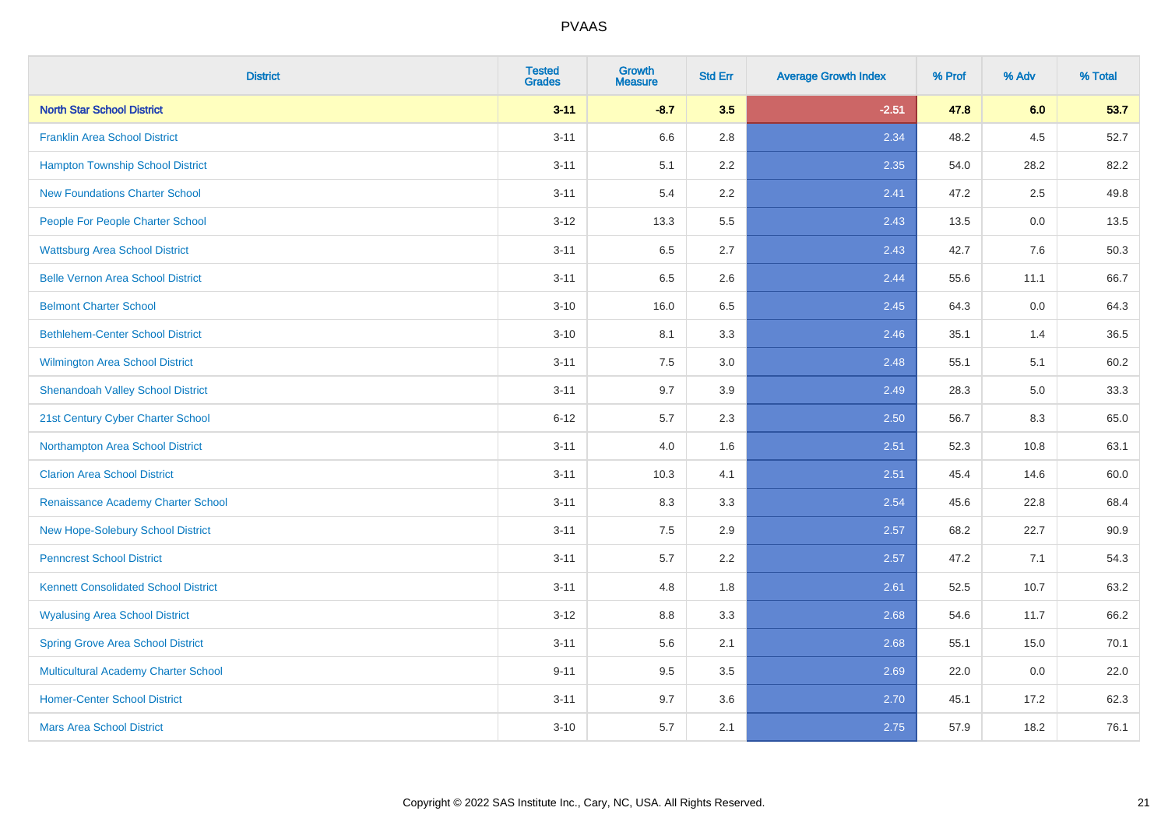| <b>District</b>                             | <b>Tested</b><br><b>Grades</b> | <b>Growth</b><br><b>Measure</b> | <b>Std Err</b> | <b>Average Growth Index</b> | % Prof | % Adv | % Total |
|---------------------------------------------|--------------------------------|---------------------------------|----------------|-----------------------------|--------|-------|---------|
| <b>North Star School District</b>           | $3 - 11$                       | $-8.7$                          | 3.5            | $-2.51$                     | 47.8   | 6.0   | 53.7    |
| <b>Franklin Area School District</b>        | $3 - 11$                       | 6.6                             | 2.8            | 2.34                        | 48.2   | 4.5   | 52.7    |
| <b>Hampton Township School District</b>     | $3 - 11$                       | 5.1                             | 2.2            | 2.35                        | 54.0   | 28.2  | 82.2    |
| <b>New Foundations Charter School</b>       | $3 - 11$                       | 5.4                             | 2.2            | 2.41                        | 47.2   | 2.5   | 49.8    |
| People For People Charter School            | $3 - 12$                       | 13.3                            | 5.5            | 2.43                        | 13.5   | 0.0   | 13.5    |
| <b>Wattsburg Area School District</b>       | $3 - 11$                       | 6.5                             | 2.7            | 2.43                        | 42.7   | 7.6   | 50.3    |
| <b>Belle Vernon Area School District</b>    | $3 - 11$                       | 6.5                             | 2.6            | 2.44                        | 55.6   | 11.1  | 66.7    |
| <b>Belmont Charter School</b>               | $3 - 10$                       | 16.0                            | 6.5            | 2.45                        | 64.3   | 0.0   | 64.3    |
| <b>Bethlehem-Center School District</b>     | $3 - 10$                       | 8.1                             | 3.3            | 2.46                        | 35.1   | 1.4   | 36.5    |
| <b>Wilmington Area School District</b>      | $3 - 11$                       | 7.5                             | 3.0            | 2.48                        | 55.1   | 5.1   | 60.2    |
| <b>Shenandoah Valley School District</b>    | $3 - 11$                       | 9.7                             | 3.9            | 2.49                        | 28.3   | 5.0   | 33.3    |
| 21st Century Cyber Charter School           | $6 - 12$                       | 5.7                             | 2.3            | 2.50                        | 56.7   | 8.3   | 65.0    |
| Northampton Area School District            | $3 - 11$                       | 4.0                             | 1.6            | 2.51                        | 52.3   | 10.8  | 63.1    |
| <b>Clarion Area School District</b>         | $3 - 11$                       | 10.3                            | 4.1            | 2.51                        | 45.4   | 14.6  | 60.0    |
| Renaissance Academy Charter School          | $3 - 11$                       | 8.3                             | 3.3            | 2.54                        | 45.6   | 22.8  | 68.4    |
| New Hope-Solebury School District           | $3 - 11$                       | $7.5\,$                         | 2.9            | 2.57                        | 68.2   | 22.7  | 90.9    |
| <b>Penncrest School District</b>            | $3 - 11$                       | 5.7                             | 2.2            | 2.57                        | 47.2   | 7.1   | 54.3    |
| <b>Kennett Consolidated School District</b> | $3 - 11$                       | 4.8                             | 1.8            | 2.61                        | 52.5   | 10.7  | 63.2    |
| <b>Wyalusing Area School District</b>       | $3 - 12$                       | $8.8\,$                         | 3.3            | 2.68                        | 54.6   | 11.7  | 66.2    |
| <b>Spring Grove Area School District</b>    | $3 - 11$                       | 5.6                             | 2.1            | 2.68                        | 55.1   | 15.0  | 70.1    |
| <b>Multicultural Academy Charter School</b> | $9 - 11$                       | 9.5                             | 3.5            | 2.69                        | 22.0   | 0.0   | 22.0    |
| <b>Homer-Center School District</b>         | $3 - 11$                       | 9.7                             | 3.6            | 2.70                        | 45.1   | 17.2  | 62.3    |
| <b>Mars Area School District</b>            | $3 - 10$                       | 5.7                             | 2.1            | 2.75                        | 57.9   | 18.2  | 76.1    |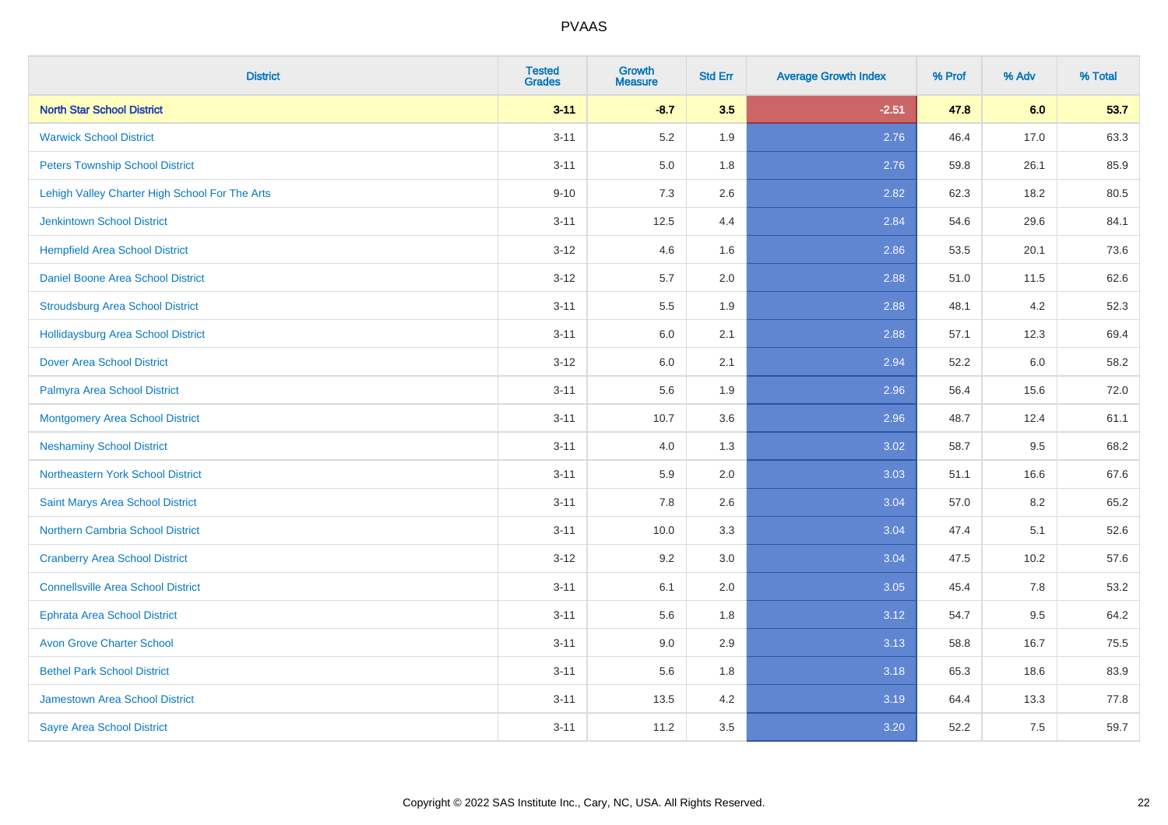| <b>District</b>                                | <b>Tested</b><br><b>Grades</b> | Growth<br><b>Measure</b> | <b>Std Err</b> | <b>Average Growth Index</b> | % Prof | % Adv | % Total |
|------------------------------------------------|--------------------------------|--------------------------|----------------|-----------------------------|--------|-------|---------|
| <b>North Star School District</b>              | $3 - 11$                       | $-8.7$                   | 3.5            | $-2.51$                     | 47.8   | 6.0   | 53.7    |
| <b>Warwick School District</b>                 | $3 - 11$                       | 5.2                      | 1.9            | 2.76                        | 46.4   | 17.0  | 63.3    |
| <b>Peters Township School District</b>         | $3 - 11$                       | 5.0                      | 1.8            | 2.76                        | 59.8   | 26.1  | 85.9    |
| Lehigh Valley Charter High School For The Arts | $9 - 10$                       | 7.3                      | 2.6            | 2.82                        | 62.3   | 18.2  | 80.5    |
| Jenkintown School District                     | $3 - 11$                       | 12.5                     | 4.4            | 2.84                        | 54.6   | 29.6  | 84.1    |
| <b>Hempfield Area School District</b>          | $3 - 12$                       | 4.6                      | 1.6            | 2.86                        | 53.5   | 20.1  | 73.6    |
| Daniel Boone Area School District              | $3 - 12$                       | 5.7                      | 2.0            | 2.88                        | 51.0   | 11.5  | 62.6    |
| <b>Stroudsburg Area School District</b>        | $3 - 11$                       | $5.5\,$                  | 1.9            | 2.88                        | 48.1   | 4.2   | 52.3    |
| <b>Hollidaysburg Area School District</b>      | $3 - 11$                       | 6.0                      | 2.1            | 2.88                        | 57.1   | 12.3  | 69.4    |
| <b>Dover Area School District</b>              | $3 - 12$                       | 6.0                      | 2.1            | 2.94                        | 52.2   | 6.0   | 58.2    |
| Palmyra Area School District                   | $3 - 11$                       | 5.6                      | 1.9            | 2.96                        | 56.4   | 15.6  | 72.0    |
| Montgomery Area School District                | $3 - 11$                       | 10.7                     | 3.6            | 2.96                        | 48.7   | 12.4  | 61.1    |
| <b>Neshaminy School District</b>               | $3 - 11$                       | 4.0                      | 1.3            | 3.02                        | 58.7   | 9.5   | 68.2    |
| Northeastern York School District              | $3 - 11$                       | 5.9                      | 2.0            | 3.03                        | 51.1   | 16.6  | 67.6    |
| Saint Marys Area School District               | $3 - 11$                       | 7.8                      | 2.6            | 3.04                        | 57.0   | 8.2   | 65.2    |
| <b>Northern Cambria School District</b>        | $3 - 11$                       | 10.0                     | 3.3            | 3.04                        | 47.4   | 5.1   | 52.6    |
| <b>Cranberry Area School District</b>          | $3 - 12$                       | 9.2                      | 3.0            | 3.04                        | 47.5   | 10.2  | 57.6    |
| <b>Connellsville Area School District</b>      | $3 - 11$                       | 6.1                      | 2.0            | 3.05                        | 45.4   | 7.8   | 53.2    |
| <b>Ephrata Area School District</b>            | $3 - 11$                       | 5.6                      | 1.8            | 3.12                        | 54.7   | 9.5   | 64.2    |
| <b>Avon Grove Charter School</b>               | $3 - 11$                       | 9.0                      | 2.9            | 3.13                        | 58.8   | 16.7  | 75.5    |
| <b>Bethel Park School District</b>             | $3 - 11$                       | 5.6                      | 1.8            | 3.18                        | 65.3   | 18.6  | 83.9    |
| Jamestown Area School District                 | $3 - 11$                       | 13.5                     | 4.2            | 3.19                        | 64.4   | 13.3  | 77.8    |
| <b>Sayre Area School District</b>              | $3 - 11$                       | 11.2                     | 3.5            | 3.20                        | 52.2   | 7.5   | 59.7    |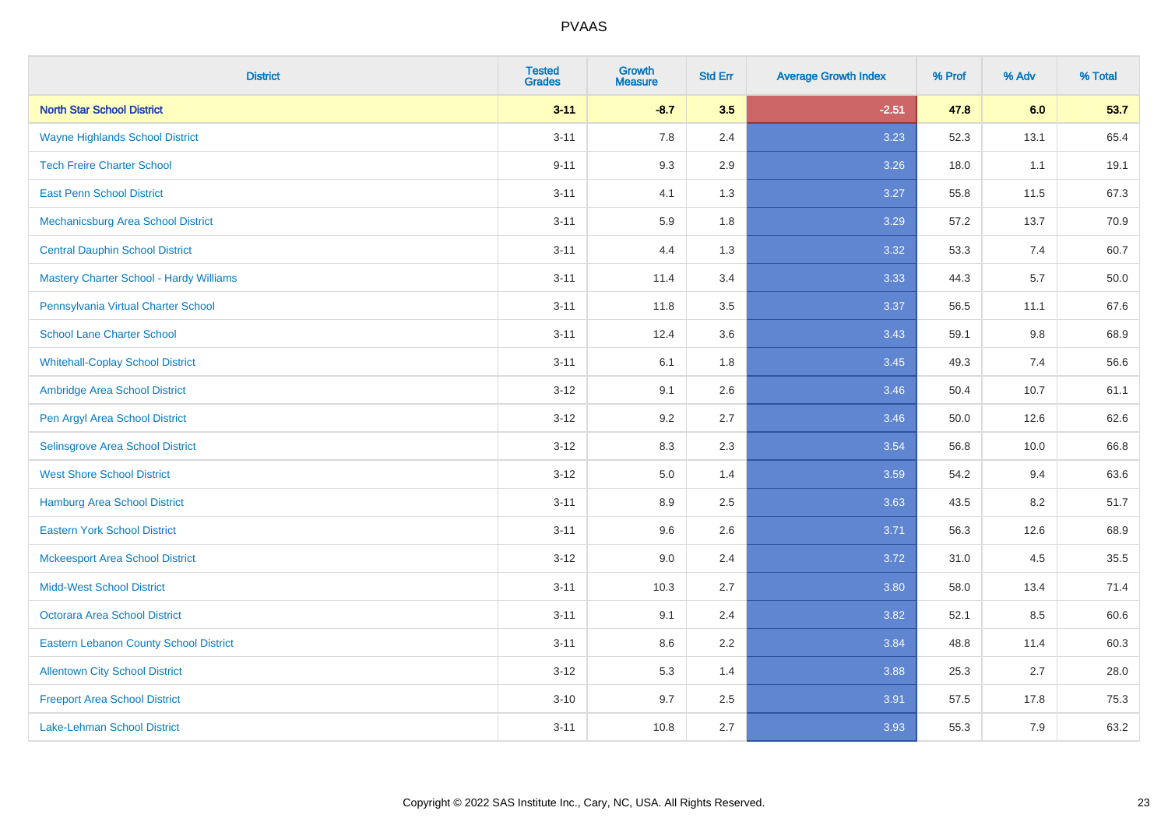| <b>District</b>                                | <b>Tested</b><br><b>Grades</b> | <b>Growth</b><br><b>Measure</b> | <b>Std Err</b> | <b>Average Growth Index</b> | % Prof | % Adv | % Total |
|------------------------------------------------|--------------------------------|---------------------------------|----------------|-----------------------------|--------|-------|---------|
| <b>North Star School District</b>              | $3 - 11$                       | $-8.7$                          | 3.5            | $-2.51$                     | 47.8   | 6.0   | 53.7    |
| <b>Wayne Highlands School District</b>         | $3 - 11$                       | 7.8                             | 2.4            | 3.23                        | 52.3   | 13.1  | 65.4    |
| <b>Tech Freire Charter School</b>              | $9 - 11$                       | 9.3                             | 2.9            | 3.26                        | 18.0   | 1.1   | 19.1    |
| <b>East Penn School District</b>               | $3 - 11$                       | 4.1                             | 1.3            | 3.27                        | 55.8   | 11.5  | 67.3    |
| Mechanicsburg Area School District             | $3 - 11$                       | 5.9                             | 1.8            | 3.29                        | 57.2   | 13.7  | 70.9    |
| <b>Central Dauphin School District</b>         | $3 - 11$                       | 4.4                             | 1.3            | 3.32                        | 53.3   | 7.4   | 60.7    |
| <b>Mastery Charter School - Hardy Williams</b> | $3 - 11$                       | 11.4                            | 3.4            | 3.33                        | 44.3   | 5.7   | 50.0    |
| Pennsylvania Virtual Charter School            | $3 - 11$                       | 11.8                            | 3.5            | 3.37                        | 56.5   | 11.1  | 67.6    |
| <b>School Lane Charter School</b>              | $3 - 11$                       | 12.4                            | 3.6            | 3.43                        | 59.1   | 9.8   | 68.9    |
| <b>Whitehall-Coplay School District</b>        | $3 - 11$                       | 6.1                             | 1.8            | 3.45                        | 49.3   | 7.4   | 56.6    |
| Ambridge Area School District                  | $3 - 12$                       | 9.1                             | 2.6            | 3.46                        | 50.4   | 10.7  | 61.1    |
| Pen Argyl Area School District                 | $3 - 12$                       | 9.2                             | 2.7            | 3.46                        | 50.0   | 12.6  | 62.6    |
| Selinsgrove Area School District               | $3 - 12$                       | 8.3                             | 2.3            | 3.54                        | 56.8   | 10.0  | 66.8    |
| <b>West Shore School District</b>              | $3 - 12$                       | 5.0                             | 1.4            | 3.59                        | 54.2   | 9.4   | 63.6    |
| <b>Hamburg Area School District</b>            | $3 - 11$                       | 8.9                             | 2.5            | 3.63                        | 43.5   | 8.2   | 51.7    |
| <b>Eastern York School District</b>            | $3 - 11$                       | 9.6                             | 2.6            | 3.71                        | 56.3   | 12.6  | 68.9    |
| <b>Mckeesport Area School District</b>         | $3 - 12$                       | 9.0                             | 2.4            | 3.72                        | 31.0   | 4.5   | 35.5    |
| <b>Midd-West School District</b>               | $3 - 11$                       | 10.3                            | 2.7            | 3.80                        | 58.0   | 13.4  | 71.4    |
| <b>Octorara Area School District</b>           | $3 - 11$                       | 9.1                             | 2.4            | 3.82                        | 52.1   | 8.5   | 60.6    |
| <b>Eastern Lebanon County School District</b>  | $3 - 11$                       | 8.6                             | 2.2            | 3.84                        | 48.8   | 11.4  | 60.3    |
| <b>Allentown City School District</b>          | $3 - 12$                       | 5.3                             | 1.4            | 3.88                        | 25.3   | 2.7   | 28.0    |
| <b>Freeport Area School District</b>           | $3 - 10$                       | 9.7                             | 2.5            | 3.91                        | 57.5   | 17.8  | 75.3    |
| <b>Lake-Lehman School District</b>             | $3 - 11$                       | 10.8                            | 2.7            | 3.93                        | 55.3   | 7.9   | 63.2    |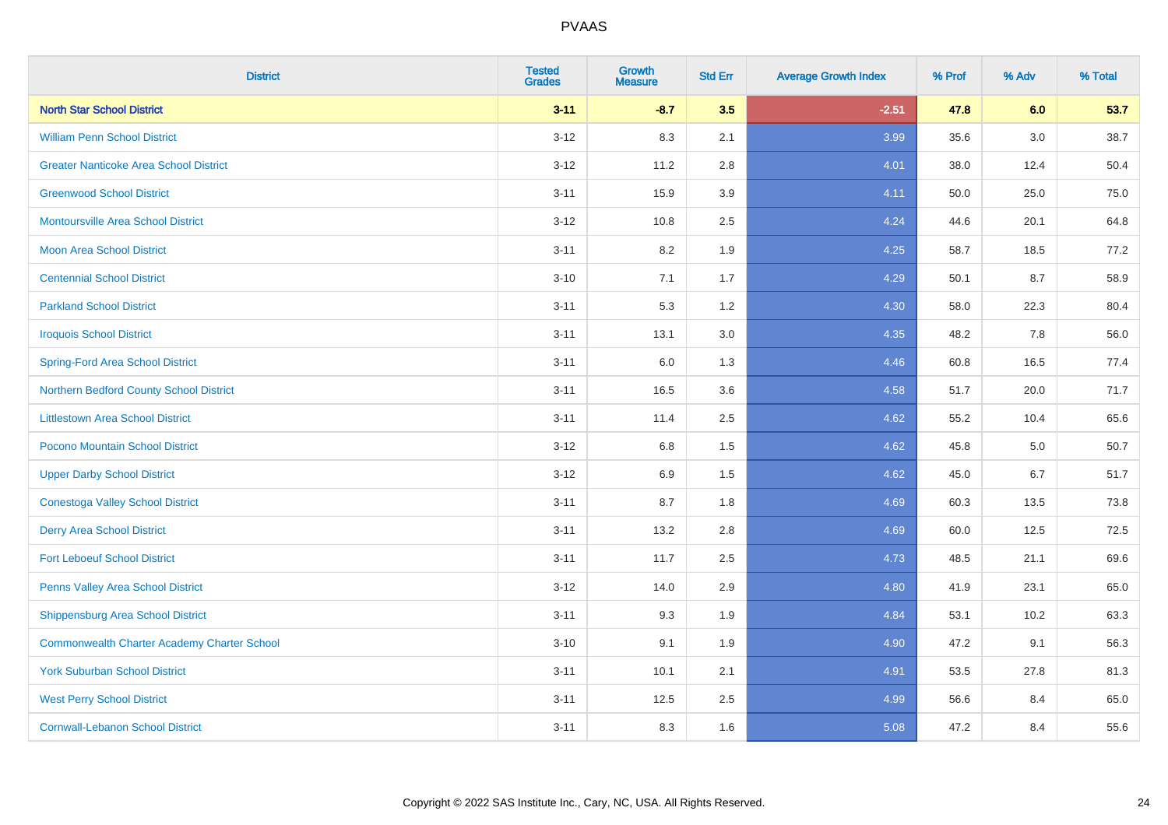| <b>District</b>                                    | <b>Tested</b><br><b>Grades</b> | <b>Growth</b><br><b>Measure</b> | <b>Std Err</b> | <b>Average Growth Index</b> | % Prof | % Adv   | % Total |
|----------------------------------------------------|--------------------------------|---------------------------------|----------------|-----------------------------|--------|---------|---------|
| <b>North Star School District</b>                  | $3 - 11$                       | $-8.7$                          | 3.5            | $-2.51$                     | 47.8   | 6.0     | 53.7    |
| <b>William Penn School District</b>                | $3 - 12$                       | 8.3                             | 2.1            | 3.99                        | 35.6   | $3.0\,$ | 38.7    |
| <b>Greater Nanticoke Area School District</b>      | $3 - 12$                       | 11.2                            | 2.8            | 4.01                        | 38.0   | 12.4    | 50.4    |
| <b>Greenwood School District</b>                   | $3 - 11$                       | 15.9                            | 3.9            | 4.11                        | 50.0   | 25.0    | 75.0    |
| <b>Montoursville Area School District</b>          | $3 - 12$                       | 10.8                            | 2.5            | 4.24                        | 44.6   | 20.1    | 64.8    |
| <b>Moon Area School District</b>                   | $3 - 11$                       | 8.2                             | 1.9            | 4.25                        | 58.7   | 18.5    | 77.2    |
| <b>Centennial School District</b>                  | $3 - 10$                       | 7.1                             | 1.7            | 4.29                        | 50.1   | 8.7     | 58.9    |
| <b>Parkland School District</b>                    | $3 - 11$                       | 5.3                             | 1.2            | 4.30                        | 58.0   | 22.3    | 80.4    |
| <b>Iroquois School District</b>                    | $3 - 11$                       | 13.1                            | 3.0            | 4.35                        | 48.2   | 7.8     | 56.0    |
| <b>Spring-Ford Area School District</b>            | $3 - 11$                       | 6.0                             | 1.3            | 4.46                        | 60.8   | 16.5    | 77.4    |
| Northern Bedford County School District            | $3 - 11$                       | 16.5                            | 3.6            | 4.58                        | 51.7   | 20.0    | 71.7    |
| <b>Littlestown Area School District</b>            | $3 - 11$                       | 11.4                            | 2.5            | 4.62                        | 55.2   | 10.4    | 65.6    |
| Pocono Mountain School District                    | $3 - 12$                       | $6.8\,$                         | 1.5            | 4.62                        | 45.8   | 5.0     | 50.7    |
| <b>Upper Darby School District</b>                 | $3 - 12$                       | 6.9                             | 1.5            | 4.62                        | 45.0   | 6.7     | 51.7    |
| <b>Conestoga Valley School District</b>            | $3 - 11$                       | 8.7                             | 1.8            | 4.69                        | 60.3   | 13.5    | 73.8    |
| <b>Derry Area School District</b>                  | $3 - 11$                       | 13.2                            | 2.8            | 4.69                        | 60.0   | 12.5    | 72.5    |
| <b>Fort Leboeuf School District</b>                | $3 - 11$                       | 11.7                            | 2.5            | 4.73                        | 48.5   | 21.1    | 69.6    |
| Penns Valley Area School District                  | $3 - 12$                       | 14.0                            | 2.9            | 4.80                        | 41.9   | 23.1    | 65.0    |
| Shippensburg Area School District                  | $3 - 11$                       | 9.3                             | 1.9            | 4.84                        | 53.1   | 10.2    | 63.3    |
| <b>Commonwealth Charter Academy Charter School</b> | $3 - 10$                       | 9.1                             | 1.9            | 4.90                        | 47.2   | 9.1     | 56.3    |
| <b>York Suburban School District</b>               | $3 - 11$                       | 10.1                            | 2.1            | 4.91                        | 53.5   | 27.8    | 81.3    |
| <b>West Perry School District</b>                  | $3 - 11$                       | 12.5                            | 2.5            | 4.99                        | 56.6   | 8.4     | 65.0    |
| <b>Cornwall-Lebanon School District</b>            | $3 - 11$                       | 8.3                             | 1.6            | 5.08                        | 47.2   | 8.4     | 55.6    |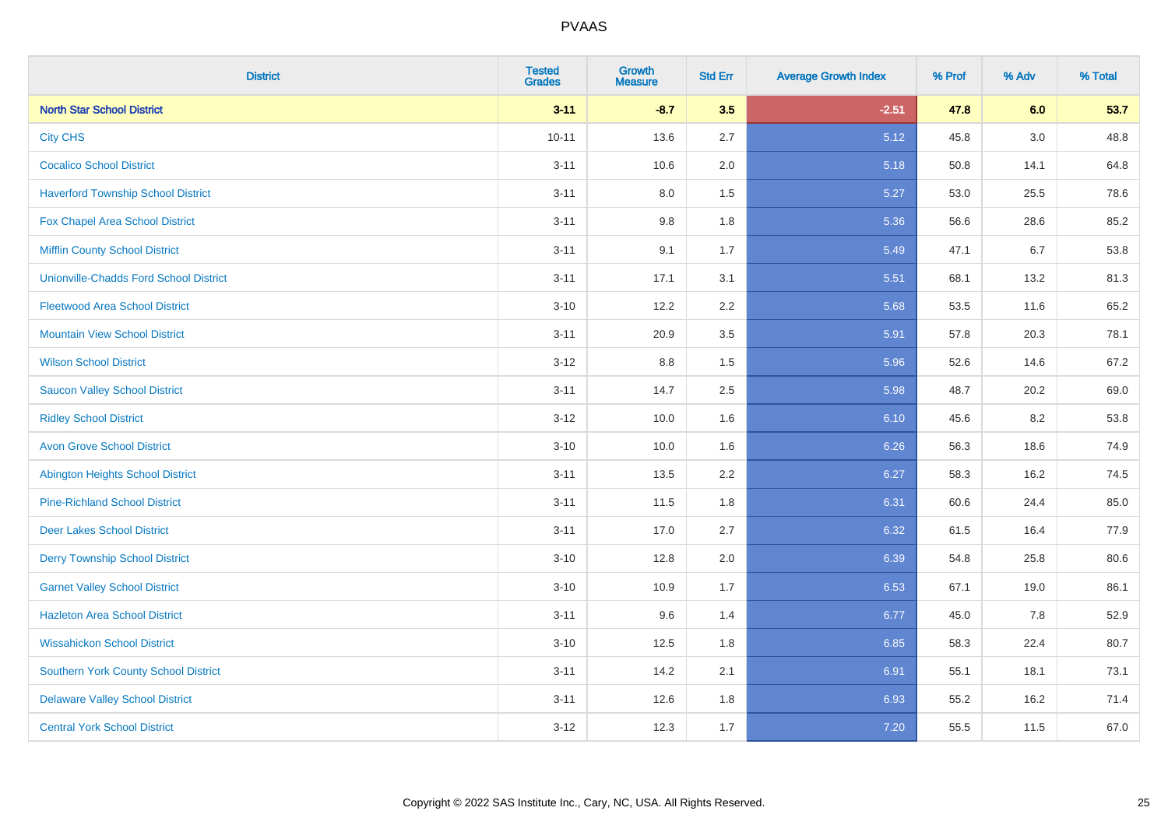| <b>District</b>                               | <b>Tested</b><br><b>Grades</b> | <b>Growth</b><br><b>Measure</b> | <b>Std Err</b> | <b>Average Growth Index</b> | % Prof | % Adv | % Total |
|-----------------------------------------------|--------------------------------|---------------------------------|----------------|-----------------------------|--------|-------|---------|
| <b>North Star School District</b>             | $3 - 11$                       | $-8.7$                          | 3.5            | $-2.51$                     | 47.8   | 6.0   | 53.7    |
| <b>City CHS</b>                               | $10 - 11$                      | 13.6                            | 2.7            | 5.12                        | 45.8   | 3.0   | 48.8    |
| <b>Cocalico School District</b>               | $3 - 11$                       | 10.6                            | 2.0            | 5.18                        | 50.8   | 14.1  | 64.8    |
| <b>Haverford Township School District</b>     | $3 - 11$                       | $8.0\,$                         | 1.5            | 5.27                        | 53.0   | 25.5  | 78.6    |
| <b>Fox Chapel Area School District</b>        | $3 - 11$                       | 9.8                             | 1.8            | 5.36                        | 56.6   | 28.6  | 85.2    |
| <b>Mifflin County School District</b>         | $3 - 11$                       | 9.1                             | 1.7            | 5.49                        | 47.1   | 6.7   | 53.8    |
| <b>Unionville-Chadds Ford School District</b> | $3 - 11$                       | 17.1                            | 3.1            | 5.51                        | 68.1   | 13.2  | 81.3    |
| <b>Fleetwood Area School District</b>         | $3 - 10$                       | 12.2                            | 2.2            | 5.68                        | 53.5   | 11.6  | 65.2    |
| <b>Mountain View School District</b>          | $3 - 11$                       | 20.9                            | 3.5            | 5.91                        | 57.8   | 20.3  | 78.1    |
| <b>Wilson School District</b>                 | $3 - 12$                       | 8.8                             | 1.5            | 5.96                        | 52.6   | 14.6  | 67.2    |
| <b>Saucon Valley School District</b>          | $3 - 11$                       | 14.7                            | 2.5            | 5.98                        | 48.7   | 20.2  | 69.0    |
| <b>Ridley School District</b>                 | $3 - 12$                       | 10.0                            | 1.6            | 6.10                        | 45.6   | 8.2   | 53.8    |
| <b>Avon Grove School District</b>             | $3 - 10$                       | 10.0                            | 1.6            | 6.26                        | 56.3   | 18.6  | 74.9    |
| <b>Abington Heights School District</b>       | $3 - 11$                       | 13.5                            | 2.2            | 6.27                        | 58.3   | 16.2  | 74.5    |
| <b>Pine-Richland School District</b>          | $3 - 11$                       | 11.5                            | 1.8            | 6.31                        | 60.6   | 24.4  | 85.0    |
| <b>Deer Lakes School District</b>             | $3 - 11$                       | 17.0                            | 2.7            | 6.32                        | 61.5   | 16.4  | 77.9    |
| <b>Derry Township School District</b>         | $3 - 10$                       | 12.8                            | 2.0            | 6.39                        | 54.8   | 25.8  | 80.6    |
| <b>Garnet Valley School District</b>          | $3 - 10$                       | 10.9                            | 1.7            | 6.53                        | 67.1   | 19.0  | 86.1    |
| <b>Hazleton Area School District</b>          | $3 - 11$                       | 9.6                             | 1.4            | 6.77                        | 45.0   | 7.8   | 52.9    |
| <b>Wissahickon School District</b>            | $3 - 10$                       | 12.5                            | 1.8            | 6.85                        | 58.3   | 22.4  | 80.7    |
| <b>Southern York County School District</b>   | $3 - 11$                       | 14.2                            | 2.1            | 6.91                        | 55.1   | 18.1  | 73.1    |
| <b>Delaware Valley School District</b>        | $3 - 11$                       | 12.6                            | 1.8            | 6.93                        | 55.2   | 16.2  | 71.4    |
| <b>Central York School District</b>           | $3 - 12$                       | 12.3                            | 1.7            | 7.20                        | 55.5   | 11.5  | 67.0    |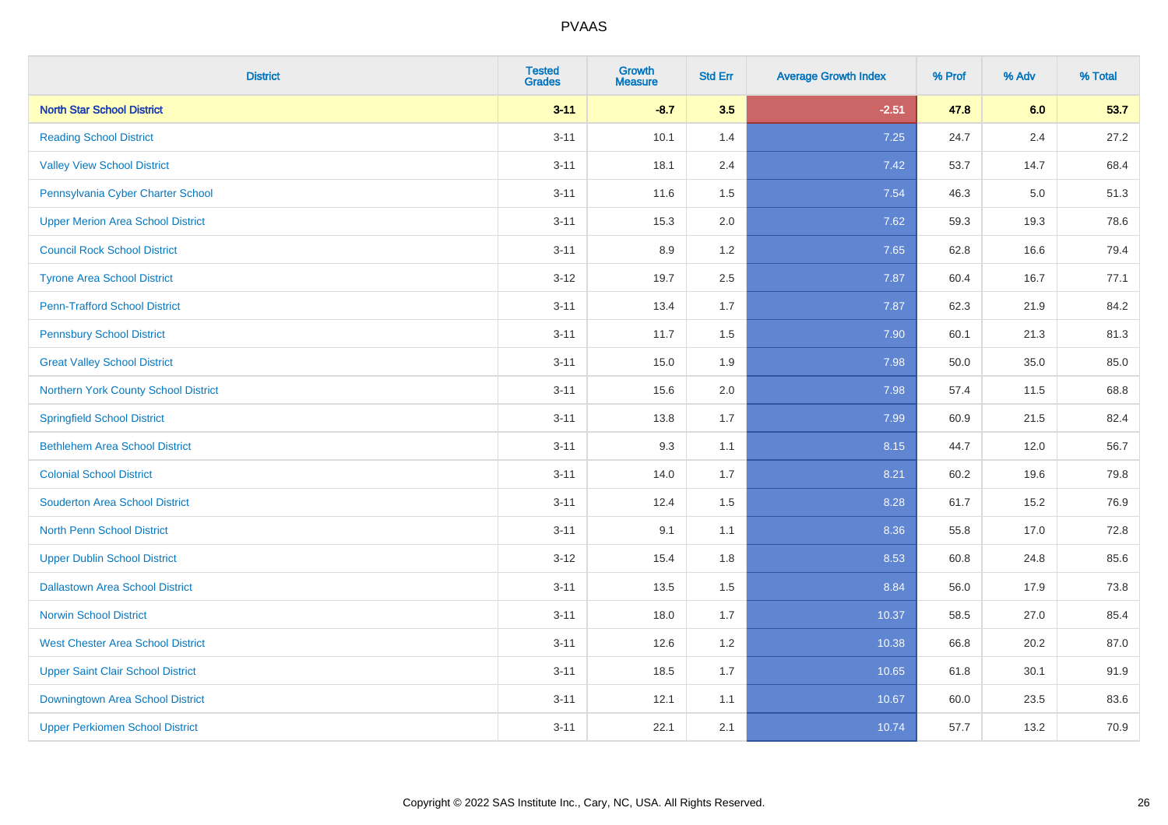| <b>District</b>                          | <b>Tested</b><br><b>Grades</b> | <b>Growth</b><br><b>Measure</b> | <b>Std Err</b> | <b>Average Growth Index</b> | % Prof | % Adv | % Total |
|------------------------------------------|--------------------------------|---------------------------------|----------------|-----------------------------|--------|-------|---------|
| <b>North Star School District</b>        | $3 - 11$                       | $-8.7$                          | 3.5            | $-2.51$                     | 47.8   | 6.0   | 53.7    |
| <b>Reading School District</b>           | $3 - 11$                       | 10.1                            | 1.4            | 7.25                        | 24.7   | 2.4   | 27.2    |
| <b>Valley View School District</b>       | $3 - 11$                       | 18.1                            | 2.4            | 7.42                        | 53.7   | 14.7  | 68.4    |
| Pennsylvania Cyber Charter School        | $3 - 11$                       | 11.6                            | 1.5            | 7.54                        | 46.3   | 5.0   | 51.3    |
| <b>Upper Merion Area School District</b> | $3 - 11$                       | 15.3                            | 2.0            | 7.62                        | 59.3   | 19.3  | 78.6    |
| <b>Council Rock School District</b>      | $3 - 11$                       | 8.9                             | 1.2            | 7.65                        | 62.8   | 16.6  | 79.4    |
| <b>Tyrone Area School District</b>       | $3 - 12$                       | 19.7                            | 2.5            | 7.87                        | 60.4   | 16.7  | 77.1    |
| <b>Penn-Trafford School District</b>     | $3 - 11$                       | 13.4                            | 1.7            | 7.87                        | 62.3   | 21.9  | 84.2    |
| <b>Pennsbury School District</b>         | $3 - 11$                       | 11.7                            | 1.5            | 7.90                        | 60.1   | 21.3  | 81.3    |
| <b>Great Valley School District</b>      | $3 - 11$                       | 15.0                            | 1.9            | 7.98                        | 50.0   | 35.0  | 85.0    |
| Northern York County School District     | $3 - 11$                       | 15.6                            | 2.0            | 7.98                        | 57.4   | 11.5  | 68.8    |
| <b>Springfield School District</b>       | $3 - 11$                       | 13.8                            | 1.7            | 7.99                        | 60.9   | 21.5  | 82.4    |
| <b>Bethlehem Area School District</b>    | $3 - 11$                       | 9.3                             | 1.1            | 8.15                        | 44.7   | 12.0  | 56.7    |
| <b>Colonial School District</b>          | $3 - 11$                       | 14.0                            | 1.7            | 8.21                        | 60.2   | 19.6  | 79.8    |
| <b>Souderton Area School District</b>    | $3 - 11$                       | 12.4                            | 1.5            | 8.28                        | 61.7   | 15.2  | 76.9    |
| <b>North Penn School District</b>        | $3 - 11$                       | 9.1                             | 1.1            | 8.36                        | 55.8   | 17.0  | 72.8    |
| <b>Upper Dublin School District</b>      | $3 - 12$                       | 15.4                            | 1.8            | 8.53                        | 60.8   | 24.8  | 85.6    |
| <b>Dallastown Area School District</b>   | $3 - 11$                       | 13.5                            | 1.5            | 8.84                        | 56.0   | 17.9  | 73.8    |
| <b>Norwin School District</b>            | $3 - 11$                       | 18.0                            | 1.7            | 10.37                       | 58.5   | 27.0  | 85.4    |
| <b>West Chester Area School District</b> | $3 - 11$                       | 12.6                            | 1.2            | 10.38                       | 66.8   | 20.2  | 87.0    |
| <b>Upper Saint Clair School District</b> | $3 - 11$                       | 18.5                            | 1.7            | 10.65                       | 61.8   | 30.1  | 91.9    |
| Downingtown Area School District         | $3 - 11$                       | 12.1                            | 1.1            | 10.67                       | 60.0   | 23.5  | 83.6    |
| <b>Upper Perkiomen School District</b>   | $3 - 11$                       | 22.1                            | 2.1            | 10.74                       | 57.7   | 13.2  | 70.9    |